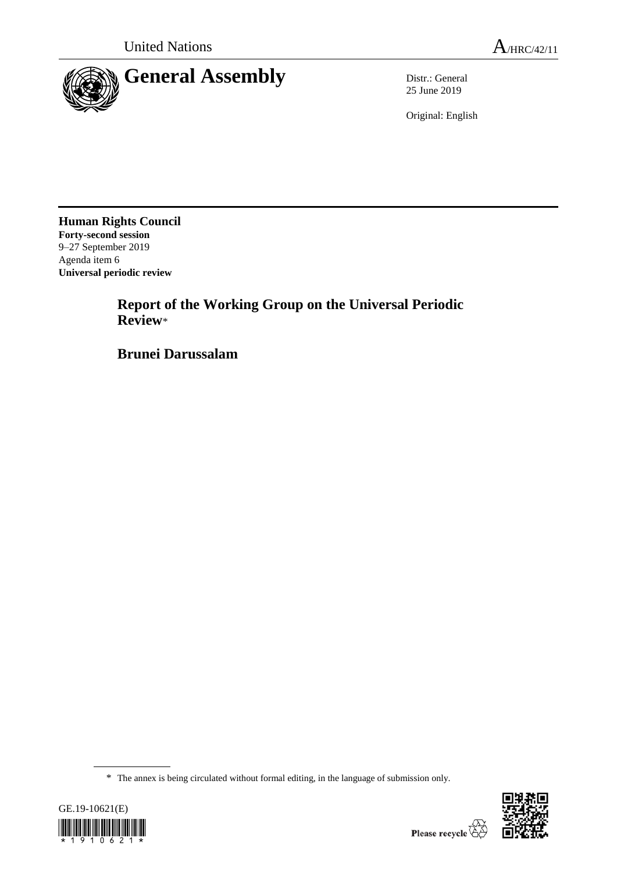

25 June 2019

Original: English

**Human Rights Council Forty-second session** 9–27 September 2019 Agenda item 6 **Universal periodic review**

> **Report of the Working Group on the Universal Periodic Review**\*

**Brunei Darussalam**

<sup>\*</sup> The annex is being circulated without formal editing, in the language of submission only.



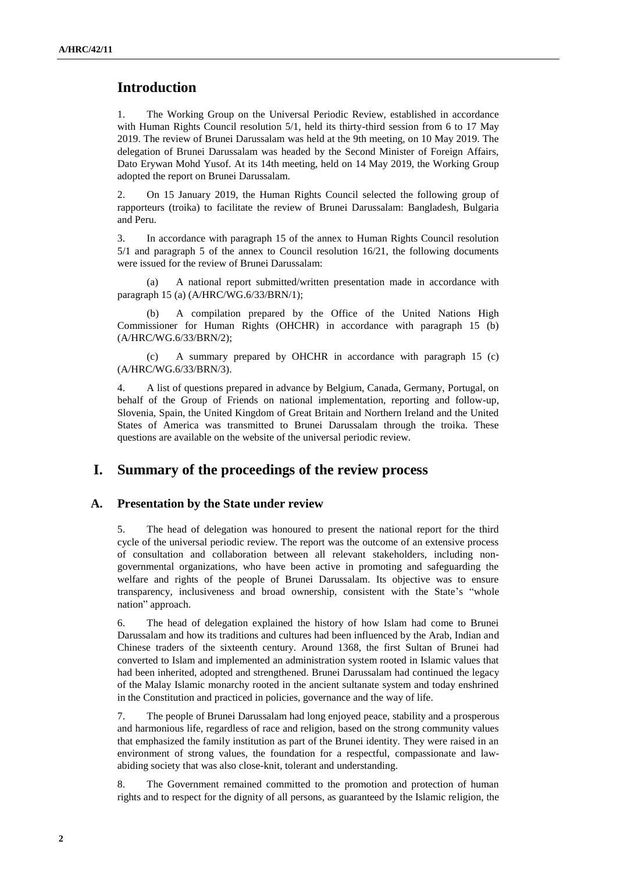# **Introduction**

1. The Working Group on the Universal Periodic Review, established in accordance with Human Rights Council resolution 5/1, held its thirty-third session from 6 to 17 May 2019. The review of Brunei Darussalam was held at the 9th meeting, on 10 May 2019. The delegation of Brunei Darussalam was headed by the Second Minister of Foreign Affairs, Dato Erywan Mohd Yusof. At its 14th meeting, held on 14 May 2019, the Working Group adopted the report on Brunei Darussalam.

2. On 15 January 2019, the Human Rights Council selected the following group of rapporteurs (troika) to facilitate the review of Brunei Darussalam: Bangladesh, Bulgaria and Peru.

3. In accordance with paragraph 15 of the annex to Human Rights Council resolution 5/1 and paragraph 5 of the annex to Council resolution 16/21, the following documents were issued for the review of Brunei Darussalam:

(a) A national report submitted/written presentation made in accordance with paragraph 15 (a) (A/HRC/WG.6/33/BRN/1);

A compilation prepared by the Office of the United Nations High Commissioner for Human Rights (OHCHR) in accordance with paragraph 15 (b) (A/HRC/WG.6/33/BRN/2);

(c) A summary prepared by OHCHR in accordance with paragraph 15 (c) (A/HRC/WG.6/33/BRN/3).

4. A list of questions prepared in advance by Belgium, Canada, Germany, Portugal, on behalf of the Group of Friends on national implementation, reporting and follow-up, Slovenia, Spain, the United Kingdom of Great Britain and Northern Ireland and the United States of America was transmitted to Brunei Darussalam through the troika. These questions are available on the website of the universal periodic review.

# **I. Summary of the proceedings of the review process**

### **A. Presentation by the State under review**

5. The head of delegation was honoured to present the national report for the third cycle of the universal periodic review. The report was the outcome of an extensive process of consultation and collaboration between all relevant stakeholders, including nongovernmental organizations, who have been active in promoting and safeguarding the welfare and rights of the people of Brunei Darussalam. Its objective was to ensure transparency, inclusiveness and broad ownership, consistent with the State's "whole nation" approach.

6. The head of delegation explained the history of how Islam had come to Brunei Darussalam and how its traditions and cultures had been influenced by the Arab, Indian and Chinese traders of the sixteenth century. Around 1368, the first Sultan of Brunei had converted to Islam and implemented an administration system rooted in Islamic values that had been inherited, adopted and strengthened. Brunei Darussalam had continued the legacy of the Malay Islamic monarchy rooted in the ancient sultanate system and today enshrined in the Constitution and practiced in policies, governance and the way of life.

7. The people of Brunei Darussalam had long enjoyed peace, stability and a prosperous and harmonious life, regardless of race and religion, based on the strong community values that emphasized the family institution as part of the Brunei identity. They were raised in an environment of strong values, the foundation for a respectful, compassionate and lawabiding society that was also close-knit, tolerant and understanding.

8. The Government remained committed to the promotion and protection of human rights and to respect for the dignity of all persons, as guaranteed by the Islamic religion, the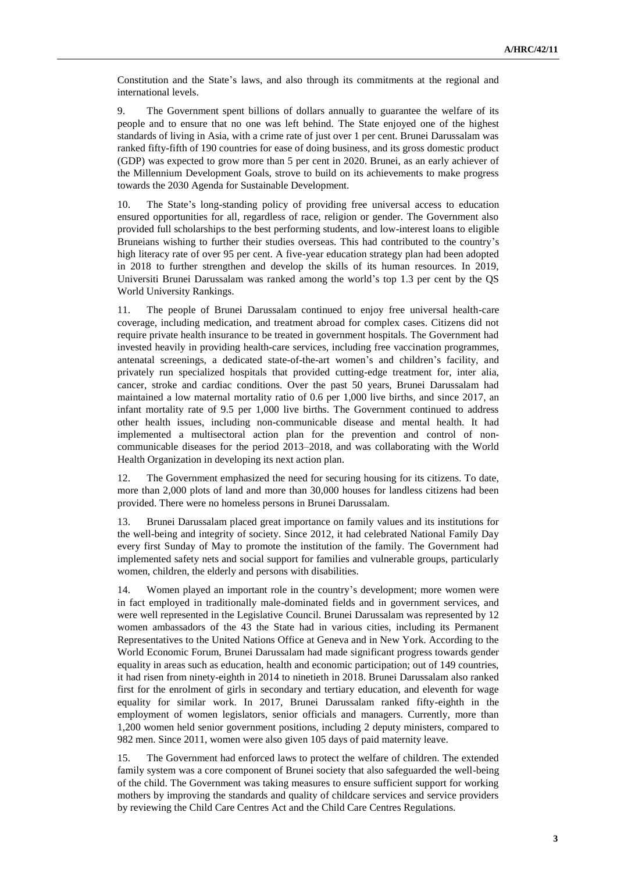Constitution and the State's laws, and also through its commitments at the regional and international levels.

9. The Government spent billions of dollars annually to guarantee the welfare of its people and to ensure that no one was left behind. The State enjoyed one of the highest standards of living in Asia, with a crime rate of just over 1 per cent. Brunei Darussalam was ranked fifty-fifth of 190 countries for ease of doing business, and its gross domestic product (GDP) was expected to grow more than 5 per cent in 2020. Brunei, as an early achiever of the Millennium Development Goals, strove to build on its achievements to make progress towards the 2030 Agenda for Sustainable Development.

10. The State's long-standing policy of providing free universal access to education ensured opportunities for all, regardless of race, religion or gender. The Government also provided full scholarships to the best performing students, and low-interest loans to eligible Bruneians wishing to further their studies overseas. This had contributed to the country's high literacy rate of over 95 per cent. A five-year education strategy plan had been adopted in 2018 to further strengthen and develop the skills of its human resources. In 2019, Universiti Brunei Darussalam was ranked among the world's top 1.3 per cent by the QS World University Rankings.

11. The people of Brunei Darussalam continued to enjoy free universal health-care coverage, including medication, and treatment abroad for complex cases. Citizens did not require private health insurance to be treated in government hospitals. The Government had invested heavily in providing health-care services, including free vaccination programmes, antenatal screenings, a dedicated state-of-the-art women's and children's facility, and privately run specialized hospitals that provided cutting-edge treatment for, inter alia, cancer, stroke and cardiac conditions. Over the past 50 years, Brunei Darussalam had maintained a low maternal mortality ratio of 0.6 per 1,000 live births, and since 2017, an infant mortality rate of 9.5 per 1,000 live births. The Government continued to address other health issues, including non-communicable disease and mental health. It had implemented a multisectoral action plan for the prevention and control of noncommunicable diseases for the period 2013–2018, and was collaborating with the World Health Organization in developing its next action plan.

12. The Government emphasized the need for securing housing for its citizens. To date, more than 2,000 plots of land and more than 30,000 houses for landless citizens had been provided. There were no homeless persons in Brunei Darussalam.

13. Brunei Darussalam placed great importance on family values and its institutions for the well-being and integrity of society. Since 2012, it had celebrated National Family Day every first Sunday of May to promote the institution of the family. The Government had implemented safety nets and social support for families and vulnerable groups, particularly women, children, the elderly and persons with disabilities.

14. Women played an important role in the country's development; more women were in fact employed in traditionally male-dominated fields and in government services, and were well represented in the Legislative Council. Brunei Darussalam was represented by 12 women ambassadors of the 43 the State had in various cities, including its Permanent Representatives to the United Nations Office at Geneva and in New York. According to the World Economic Forum, Brunei Darussalam had made significant progress towards gender equality in areas such as education, health and economic participation; out of 149 countries, it had risen from ninety-eighth in 2014 to ninetieth in 2018. Brunei Darussalam also ranked first for the enrolment of girls in secondary and tertiary education, and eleventh for wage equality for similar work. In 2017, Brunei Darussalam ranked fifty-eighth in the employment of women legislators, senior officials and managers. Currently, more than 1,200 women held senior government positions, including 2 deputy ministers, compared to 982 men. Since 2011, women were also given 105 days of paid maternity leave.

15. The Government had enforced laws to protect the welfare of children. The extended family system was a core component of Brunei society that also safeguarded the well-being of the child. The Government was taking measures to ensure sufficient support for working mothers by improving the standards and quality of childcare services and service providers by reviewing the Child Care Centres Act and the Child Care Centres Regulations.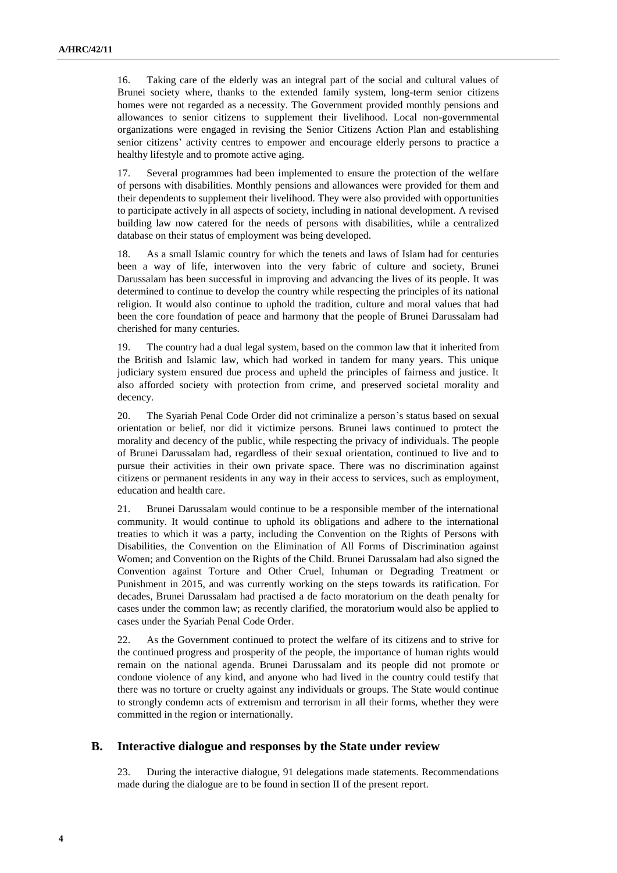16. Taking care of the elderly was an integral part of the social and cultural values of Brunei society where, thanks to the extended family system, long-term senior citizens homes were not regarded as a necessity. The Government provided monthly pensions and allowances to senior citizens to supplement their livelihood. Local non-governmental organizations were engaged in revising the Senior Citizens Action Plan and establishing senior citizens' activity centres to empower and encourage elderly persons to practice a healthy lifestyle and to promote active aging.

17. Several programmes had been implemented to ensure the protection of the welfare of persons with disabilities. Monthly pensions and allowances were provided for them and their dependents to supplement their livelihood. They were also provided with opportunities to participate actively in all aspects of society, including in national development. A revised building law now catered for the needs of persons with disabilities, while a centralized database on their status of employment was being developed.

18. As a small Islamic country for which the tenets and laws of Islam had for centuries been a way of life, interwoven into the very fabric of culture and society, Brunei Darussalam has been successful in improving and advancing the lives of its people. It was determined to continue to develop the country while respecting the principles of its national religion. It would also continue to uphold the tradition, culture and moral values that had been the core foundation of peace and harmony that the people of Brunei Darussalam had cherished for many centuries.

19. The country had a dual legal system, based on the common law that it inherited from the British and Islamic law, which had worked in tandem for many years. This unique judiciary system ensured due process and upheld the principles of fairness and justice. It also afforded society with protection from crime, and preserved societal morality and decency.

20. The Syariah Penal Code Order did not criminalize a person's status based on sexual orientation or belief, nor did it victimize persons. Brunei laws continued to protect the morality and decency of the public, while respecting the privacy of individuals. The people of Brunei Darussalam had, regardless of their sexual orientation, continued to live and to pursue their activities in their own private space. There was no discrimination against citizens or permanent residents in any way in their access to services, such as employment, education and health care.

21. Brunei Darussalam would continue to be a responsible member of the international community. It would continue to uphold its obligations and adhere to the international treaties to which it was a party, including the Convention on the Rights of Persons with Disabilities, the Convention on the Elimination of All Forms of Discrimination against Women; and Convention on the Rights of the Child. Brunei Darussalam had also signed the Convention against Torture and Other Cruel, Inhuman or Degrading Treatment or Punishment in 2015, and was currently working on the steps towards its ratification. For decades, Brunei Darussalam had practised a de facto moratorium on the death penalty for cases under the common law; as recently clarified, the moratorium would also be applied to cases under the Syariah Penal Code Order.

22. As the Government continued to protect the welfare of its citizens and to strive for the continued progress and prosperity of the people, the importance of human rights would remain on the national agenda. Brunei Darussalam and its people did not promote or condone violence of any kind, and anyone who had lived in the country could testify that there was no torture or cruelty against any individuals or groups. The State would continue to strongly condemn acts of extremism and terrorism in all their forms, whether they were committed in the region or internationally.

#### **B. Interactive dialogue and responses by the State under review**

23. During the interactive dialogue, 91 delegations made statements. Recommendations made during the dialogue are to be found in section II of the present report.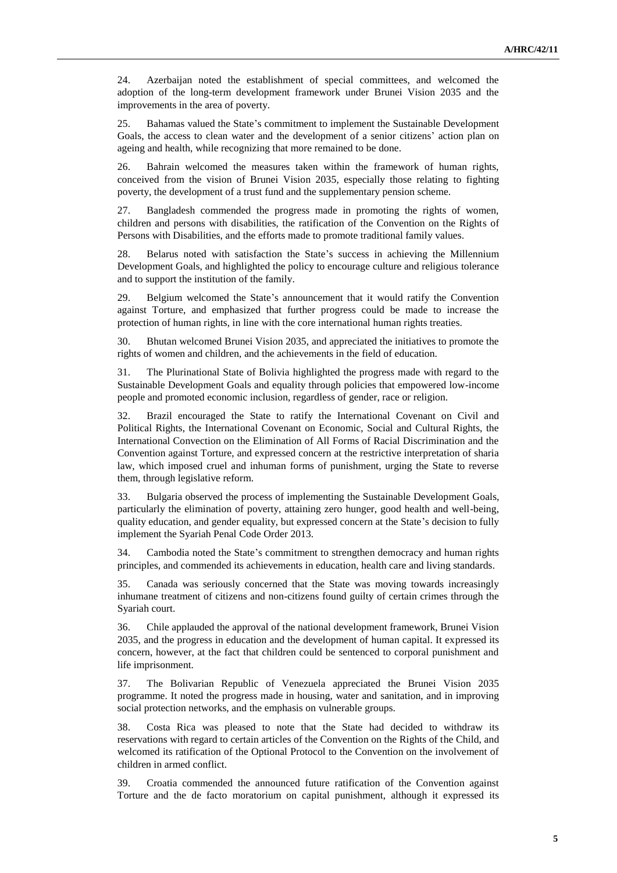24. Azerbaijan noted the establishment of special committees, and welcomed the adoption of the long-term development framework under Brunei Vision 2035 and the improvements in the area of poverty.

25. Bahamas valued the State's commitment to implement the Sustainable Development Goals, the access to clean water and the development of a senior citizens' action plan on ageing and health, while recognizing that more remained to be done.

26. Bahrain welcomed the measures taken within the framework of human rights, conceived from the vision of Brunei Vision 2035, especially those relating to fighting poverty, the development of a trust fund and the supplementary pension scheme.

27. Bangladesh commended the progress made in promoting the rights of women, children and persons with disabilities, the ratification of the Convention on the Rights of Persons with Disabilities, and the efforts made to promote traditional family values.

28. Belarus noted with satisfaction the State's success in achieving the Millennium Development Goals, and highlighted the policy to encourage culture and religious tolerance and to support the institution of the family.

29. Belgium welcomed the State's announcement that it would ratify the Convention against Torture, and emphasized that further progress could be made to increase the protection of human rights, in line with the core international human rights treaties.

30. Bhutan welcomed Brunei Vision 2035, and appreciated the initiatives to promote the rights of women and children, and the achievements in the field of education.

31. The Plurinational State of Bolivia highlighted the progress made with regard to the Sustainable Development Goals and equality through policies that empowered low-income people and promoted economic inclusion, regardless of gender, race or religion.

32. Brazil encouraged the State to ratify the International Covenant on Civil and Political Rights, the International Covenant on Economic, Social and Cultural Rights, the International Convection on the Elimination of All Forms of Racial Discrimination and the Convention against Torture, and expressed concern at the restrictive interpretation of sharia law, which imposed cruel and inhuman forms of punishment, urging the State to reverse them, through legislative reform.

33. Bulgaria observed the process of implementing the Sustainable Development Goals, particularly the elimination of poverty, attaining zero hunger, good health and well-being, quality education, and gender equality, but expressed concern at the State's decision to fully implement the Syariah Penal Code Order 2013.

34. Cambodia noted the State's commitment to strengthen democracy and human rights principles, and commended its achievements in education, health care and living standards.

35. Canada was seriously concerned that the State was moving towards increasingly inhumane treatment of citizens and non-citizens found guilty of certain crimes through the Syariah court.

36. Chile applauded the approval of the national development framework, Brunei Vision 2035, and the progress in education and the development of human capital. It expressed its concern, however, at the fact that children could be sentenced to corporal punishment and life imprisonment.

37. The Bolivarian Republic of Venezuela appreciated the Brunei Vision 2035 programme. It noted the progress made in housing, water and sanitation, and in improving social protection networks, and the emphasis on vulnerable groups.

38. Costa Rica was pleased to note that the State had decided to withdraw its reservations with regard to certain articles of the Convention on the Rights of the Child, and welcomed its ratification of the Optional Protocol to the Convention on the involvement of children in armed conflict.

39. Croatia commended the announced future ratification of the Convention against Torture and the de facto moratorium on capital punishment, although it expressed its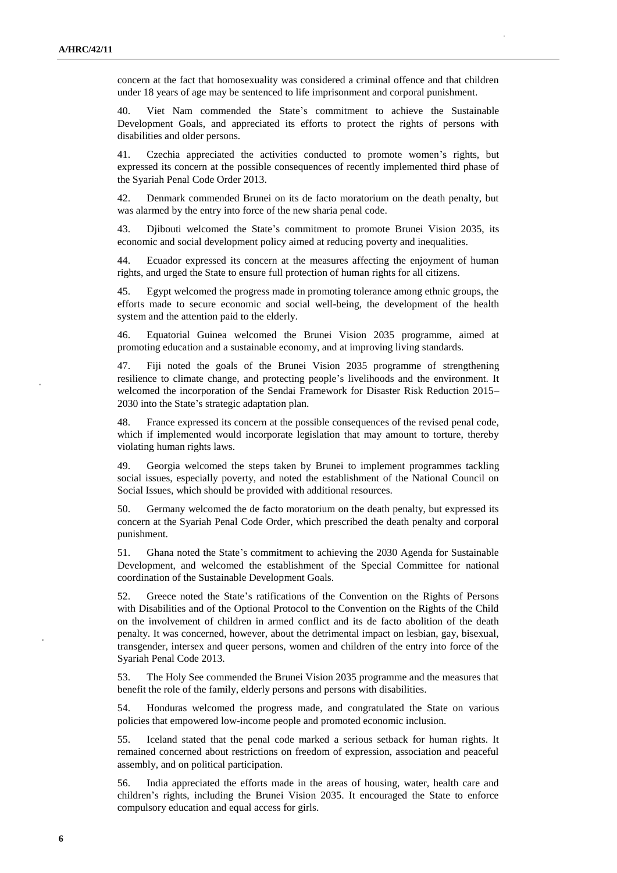concern at the fact that homosexuality was considered a criminal offence and that children under 18 years of age may be sentenced to life imprisonment and corporal punishment.

40. Viet Nam commended the State's commitment to achieve the Sustainable Development Goals, and appreciated its efforts to protect the rights of persons with disabilities and older persons.

41. Czechia appreciated the activities conducted to promote women's rights, but expressed its concern at the possible consequences of recently implemented third phase of the Syariah Penal Code Order 2013.

42. Denmark commended Brunei on its de facto moratorium on the death penalty, but was alarmed by the entry into force of the new sharia penal code.

43. Djibouti welcomed the State's commitment to promote Brunei Vision 2035, its economic and social development policy aimed at reducing poverty and inequalities.

44. Ecuador expressed its concern at the measures affecting the enjoyment of human rights, and urged the State to ensure full protection of human rights for all citizens.

45. Egypt welcomed the progress made in promoting tolerance among ethnic groups, the efforts made to secure economic and social well-being, the development of the health system and the attention paid to the elderly.

46. Equatorial Guinea welcomed the Brunei Vision 2035 programme, aimed at promoting education and a sustainable economy, and at improving living standards.

47. Fiji noted the goals of the Brunei Vision 2035 programme of strengthening resilience to climate change, and protecting people's livelihoods and the environment. It welcomed the incorporation of the Sendai Framework for Disaster Risk Reduction 2015– 2030 into the State's strategic adaptation plan.

48. France expressed its concern at the possible consequences of the revised penal code, which if implemented would incorporate legislation that may amount to torture, thereby violating human rights laws.

49. Georgia welcomed the steps taken by Brunei to implement programmes tackling social issues, especially poverty, and noted the establishment of the National Council on Social Issues, which should be provided with additional resources.

50. Germany welcomed the de facto moratorium on the death penalty, but expressed its concern at the Syariah Penal Code Order, which prescribed the death penalty and corporal punishment.

51. Ghana noted the State's commitment to achieving the 2030 Agenda for Sustainable Development, and welcomed the establishment of the Special Committee for national coordination of the Sustainable Development Goals.

52. Greece noted the State's ratifications of the Convention on the Rights of Persons with Disabilities and of the Optional Protocol to the Convention on the Rights of the Child on the involvement of children in armed conflict and its de facto abolition of the death penalty. It was concerned, however, about the detrimental impact on lesbian, gay, bisexual, transgender, intersex and queer persons, women and children of the entry into force of the Syariah Penal Code 2013.

53. The Holy See commended the Brunei Vision 2035 programme and the measures that benefit the role of the family, elderly persons and persons with disabilities.

54. Honduras welcomed the progress made, and congratulated the State on various policies that empowered low-income people and promoted economic inclusion.

55. Iceland stated that the penal code marked a serious setback for human rights. It remained concerned about restrictions on freedom of expression, association and peaceful assembly, and on political participation.

56. India appreciated the efforts made in the areas of housing, water, health care and children's rights, including the Brunei Vision 2035. It encouraged the State to enforce compulsory education and equal access for girls.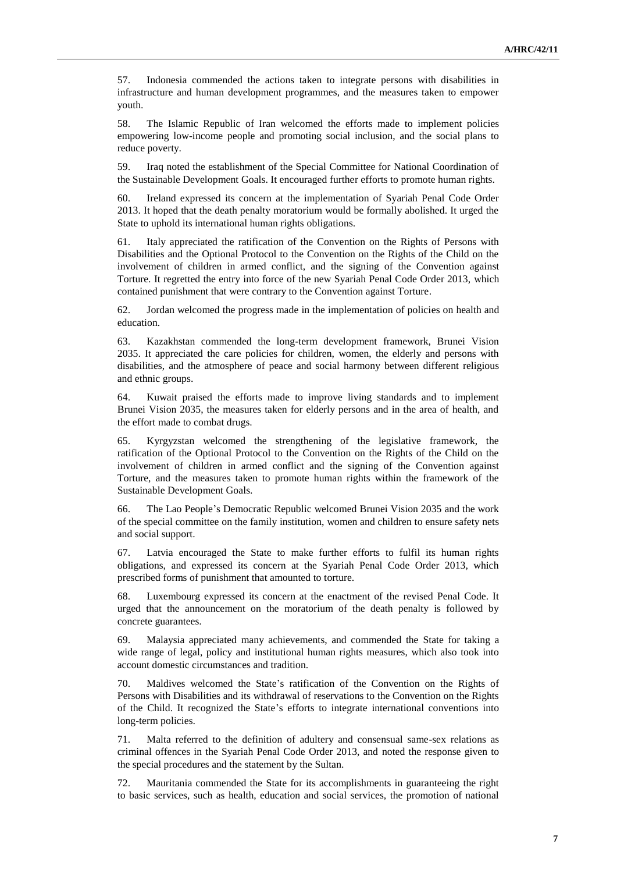57. Indonesia commended the actions taken to integrate persons with disabilities in infrastructure and human development programmes, and the measures taken to empower youth.

58. The Islamic Republic of Iran welcomed the efforts made to implement policies empowering low-income people and promoting social inclusion, and the social plans to reduce poverty.

59. Iraq noted the establishment of the Special Committee for National Coordination of the Sustainable Development Goals. It encouraged further efforts to promote human rights.

60. Ireland expressed its concern at the implementation of Syariah Penal Code Order 2013. It hoped that the death penalty moratorium would be formally abolished. It urged the State to uphold its international human rights obligations.

61. Italy appreciated the ratification of the Convention on the Rights of Persons with Disabilities and the Optional Protocol to the Convention on the Rights of the Child on the involvement of children in armed conflict, and the signing of the Convention against Torture. It regretted the entry into force of the new Syariah Penal Code Order 2013, which contained punishment that were contrary to the Convention against Torture.

62. Jordan welcomed the progress made in the implementation of policies on health and education.

63. Kazakhstan commended the long-term development framework, Brunei Vision 2035. It appreciated the care policies for children, women, the elderly and persons with disabilities, and the atmosphere of peace and social harmony between different religious and ethnic groups.

64. Kuwait praised the efforts made to improve living standards and to implement Brunei Vision 2035, the measures taken for elderly persons and in the area of health, and the effort made to combat drugs.

65. Kyrgyzstan welcomed the strengthening of the legislative framework, the ratification of the Optional Protocol to the Convention on the Rights of the Child on the involvement of children in armed conflict and the signing of the Convention against Torture, and the measures taken to promote human rights within the framework of the Sustainable Development Goals.

66. The Lao People's Democratic Republic welcomed Brunei Vision 2035 and the work of the special committee on the family institution, women and children to ensure safety nets and social support.

67. Latvia encouraged the State to make further efforts to fulfil its human rights obligations, and expressed its concern at the Syariah Penal Code Order 2013, which prescribed forms of punishment that amounted to torture.

68. Luxembourg expressed its concern at the enactment of the revised Penal Code. It urged that the announcement on the moratorium of the death penalty is followed by concrete guarantees.

69. Malaysia appreciated many achievements, and commended the State for taking a wide range of legal, policy and institutional human rights measures, which also took into account domestic circumstances and tradition.

70. Maldives welcomed the State's ratification of the Convention on the Rights of Persons with Disabilities and its withdrawal of reservations to the Convention on the Rights of the Child. It recognized the State's efforts to integrate international conventions into long-term policies.

71. Malta referred to the definition of adultery and consensual same-sex relations as criminal offences in the Syariah Penal Code Order 2013, and noted the response given to the special procedures and the statement by the Sultan.

72. Mauritania commended the State for its accomplishments in guaranteeing the right to basic services, such as health, education and social services, the promotion of national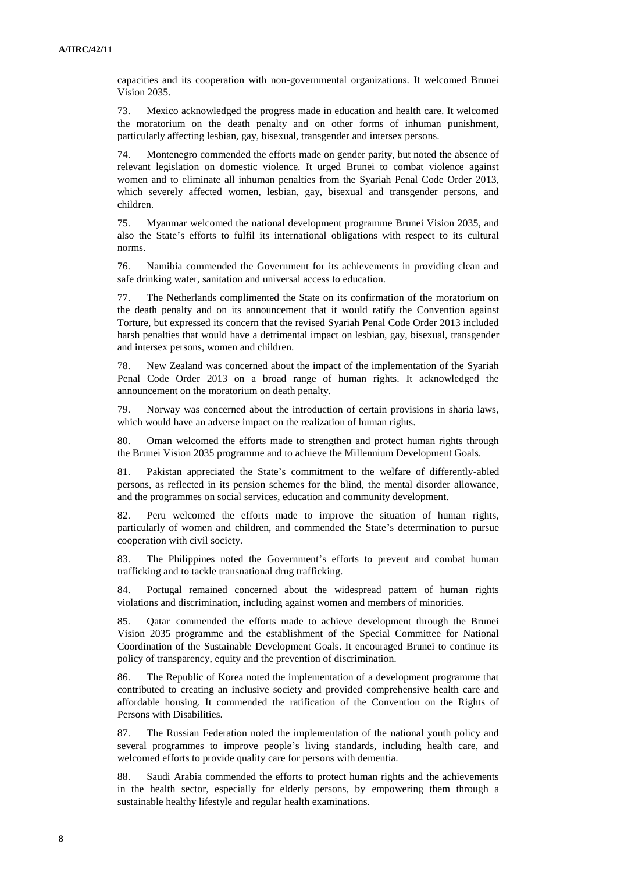capacities and its cooperation with non-governmental organizations. It welcomed Brunei Vision 2035.

73. Mexico acknowledged the progress made in education and health care. It welcomed the moratorium on the death penalty and on other forms of inhuman punishment, particularly affecting lesbian, gay, bisexual, transgender and intersex persons.

74. Montenegro commended the efforts made on gender parity, but noted the absence of relevant legislation on domestic violence. It urged Brunei to combat violence against women and to eliminate all inhuman penalties from the Syariah Penal Code Order 2013, which severely affected women, lesbian, gay, bisexual and transgender persons, and children.

75. Myanmar welcomed the national development programme Brunei Vision 2035, and also the State's efforts to fulfil its international obligations with respect to its cultural norms.

76. Namibia commended the Government for its achievements in providing clean and safe drinking water, sanitation and universal access to education.

77. The Netherlands complimented the State on its confirmation of the moratorium on the death penalty and on its announcement that it would ratify the Convention against Torture, but expressed its concern that the revised Syariah Penal Code Order 2013 included harsh penalties that would have a detrimental impact on lesbian, gay, bisexual, transgender and intersex persons, women and children.

78. New Zealand was concerned about the impact of the implementation of the Syariah Penal Code Order 2013 on a broad range of human rights. It acknowledged the announcement on the moratorium on death penalty.

79. Norway was concerned about the introduction of certain provisions in sharia laws, which would have an adverse impact on the realization of human rights.

80. Oman welcomed the efforts made to strengthen and protect human rights through the Brunei Vision 2035 programme and to achieve the Millennium Development Goals.

81. Pakistan appreciated the State's commitment to the welfare of differently-abled persons, as reflected in its pension schemes for the blind, the mental disorder allowance, and the programmes on social services, education and community development.

82. Peru welcomed the efforts made to improve the situation of human rights, particularly of women and children, and commended the State's determination to pursue cooperation with civil society.

83. The Philippines noted the Government's efforts to prevent and combat human trafficking and to tackle transnational drug trafficking.

84. Portugal remained concerned about the widespread pattern of human rights violations and discrimination, including against women and members of minorities.

85. Qatar commended the efforts made to achieve development through the Brunei Vision 2035 programme and the establishment of the Special Committee for National Coordination of the Sustainable Development Goals. It encouraged Brunei to continue its policy of transparency, equity and the prevention of discrimination.

86. The Republic of Korea noted the implementation of a development programme that contributed to creating an inclusive society and provided comprehensive health care and affordable housing. It commended the ratification of the Convention on the Rights of Persons with Disabilities.

87. The Russian Federation noted the implementation of the national youth policy and several programmes to improve people's living standards, including health care, and welcomed efforts to provide quality care for persons with dementia.

88. Saudi Arabia commended the efforts to protect human rights and the achievements in the health sector, especially for elderly persons, by empowering them through a sustainable healthy lifestyle and regular health examinations.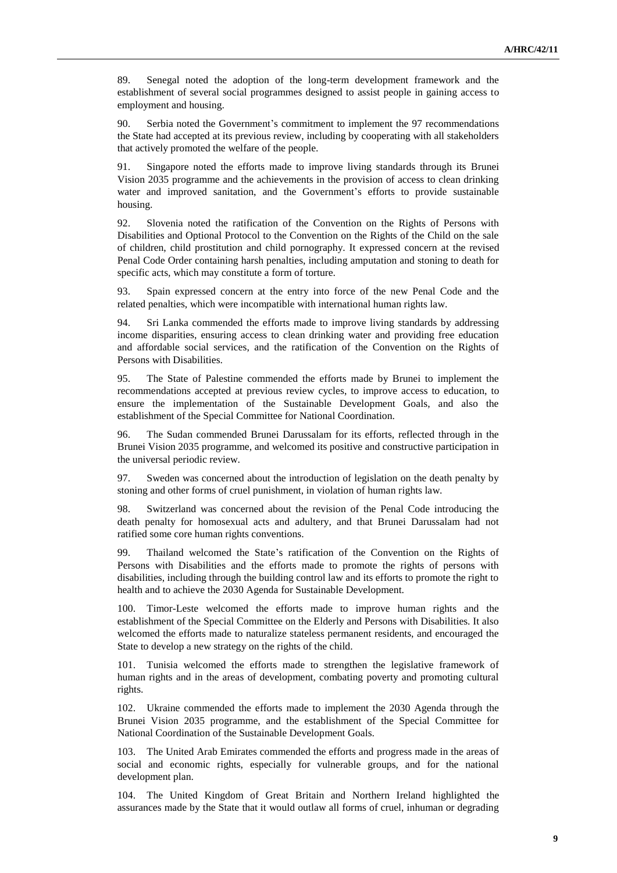89. Senegal noted the adoption of the long-term development framework and the establishment of several social programmes designed to assist people in gaining access to employment and housing.

90. Serbia noted the Government's commitment to implement the 97 recommendations the State had accepted at its previous review, including by cooperating with all stakeholders that actively promoted the welfare of the people.

91. Singapore noted the efforts made to improve living standards through its Brunei Vision 2035 programme and the achievements in the provision of access to clean drinking water and improved sanitation, and the Government's efforts to provide sustainable housing.

92. Slovenia noted the ratification of the Convention on the Rights of Persons with Disabilities and Optional Protocol to the Convention on the Rights of the Child on the sale of children, child prostitution and child pornography. It expressed concern at the revised Penal Code Order containing harsh penalties, including amputation and stoning to death for specific acts, which may constitute a form of torture.

93. Spain expressed concern at the entry into force of the new Penal Code and the related penalties, which were incompatible with international human rights law.

94. Sri Lanka commended the efforts made to improve living standards by addressing income disparities, ensuring access to clean drinking water and providing free education and affordable social services, and the ratification of the Convention on the Rights of Persons with Disabilities.

95. The State of Palestine commended the efforts made by Brunei to implement the recommendations accepted at previous review cycles, to improve access to education, to ensure the implementation of the Sustainable Development Goals, and also the establishment of the Special Committee for National Coordination.

96. The Sudan commended Brunei Darussalam for its efforts, reflected through in the Brunei Vision 2035 programme, and welcomed its positive and constructive participation in the universal periodic review.

97. Sweden was concerned about the introduction of legislation on the death penalty by stoning and other forms of cruel punishment, in violation of human rights law.

98. Switzerland was concerned about the revision of the Penal Code introducing the death penalty for homosexual acts and adultery, and that Brunei Darussalam had not ratified some core human rights conventions.

99. Thailand welcomed the State's ratification of the Convention on the Rights of Persons with Disabilities and the efforts made to promote the rights of persons with disabilities, including through the building control law and its efforts to promote the right to health and to achieve the 2030 Agenda for Sustainable Development.

100. Timor-Leste welcomed the efforts made to improve human rights and the establishment of the Special Committee on the Elderly and Persons with Disabilities. It also welcomed the efforts made to naturalize stateless permanent residents, and encouraged the State to develop a new strategy on the rights of the child.

101. Tunisia welcomed the efforts made to strengthen the legislative framework of human rights and in the areas of development, combating poverty and promoting cultural rights.

102. Ukraine commended the efforts made to implement the 2030 Agenda through the Brunei Vision 2035 programme, and the establishment of the Special Committee for National Coordination of the Sustainable Development Goals.

103. The United Arab Emirates commended the efforts and progress made in the areas of social and economic rights, especially for vulnerable groups, and for the national development plan.

104. The United Kingdom of Great Britain and Northern Ireland highlighted the assurances made by the State that it would outlaw all forms of cruel, inhuman or degrading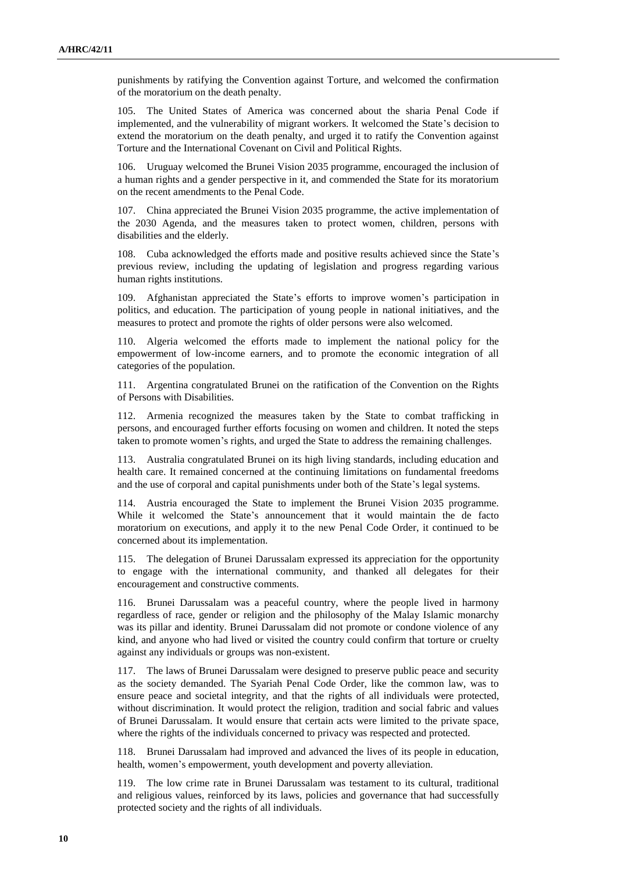punishments by ratifying the Convention against Torture, and welcomed the confirmation of the moratorium on the death penalty.

105. The United States of America was concerned about the sharia Penal Code if implemented, and the vulnerability of migrant workers. It welcomed the State's decision to extend the moratorium on the death penalty, and urged it to ratify the Convention against Torture and the International Covenant on Civil and Political Rights.

106. Uruguay welcomed the Brunei Vision 2035 programme, encouraged the inclusion of a human rights and a gender perspective in it, and commended the State for its moratorium on the recent amendments to the Penal Code.

107. China appreciated the Brunei Vision 2035 programme, the active implementation of the 2030 Agenda, and the measures taken to protect women, children, persons with disabilities and the elderly.

108. Cuba acknowledged the efforts made and positive results achieved since the State's previous review, including the updating of legislation and progress regarding various human rights institutions.

109. Afghanistan appreciated the State's efforts to improve women's participation in politics, and education. The participation of young people in national initiatives, and the measures to protect and promote the rights of older persons were also welcomed.

110. Algeria welcomed the efforts made to implement the national policy for the empowerment of low-income earners, and to promote the economic integration of all categories of the population.

111. Argentina congratulated Brunei on the ratification of the Convention on the Rights of Persons with Disabilities.

112. Armenia recognized the measures taken by the State to combat trafficking in persons, and encouraged further efforts focusing on women and children. It noted the steps taken to promote women's rights, and urged the State to address the remaining challenges.

113. Australia congratulated Brunei on its high living standards, including education and health care. It remained concerned at the continuing limitations on fundamental freedoms and the use of corporal and capital punishments under both of the State's legal systems.

114. Austria encouraged the State to implement the Brunei Vision 2035 programme. While it welcomed the State's announcement that it would maintain the de facto moratorium on executions, and apply it to the new Penal Code Order, it continued to be concerned about its implementation.

115. The delegation of Brunei Darussalam expressed its appreciation for the opportunity to engage with the international community, and thanked all delegates for their encouragement and constructive comments.

116. Brunei Darussalam was a peaceful country, where the people lived in harmony regardless of race, gender or religion and the philosophy of the Malay Islamic monarchy was its pillar and identity. Brunei Darussalam did not promote or condone violence of any kind, and anyone who had lived or visited the country could confirm that torture or cruelty against any individuals or groups was non-existent.

117. The laws of Brunei Darussalam were designed to preserve public peace and security as the society demanded. The Syariah Penal Code Order, like the common law, was to ensure peace and societal integrity, and that the rights of all individuals were protected, without discrimination. It would protect the religion, tradition and social fabric and values of Brunei Darussalam. It would ensure that certain acts were limited to the private space, where the rights of the individuals concerned to privacy was respected and protected.

118. Brunei Darussalam had improved and advanced the lives of its people in education, health, women's empowerment, youth development and poverty alleviation.

119. The low crime rate in Brunei Darussalam was testament to its cultural, traditional and religious values, reinforced by its laws, policies and governance that had successfully protected society and the rights of all individuals.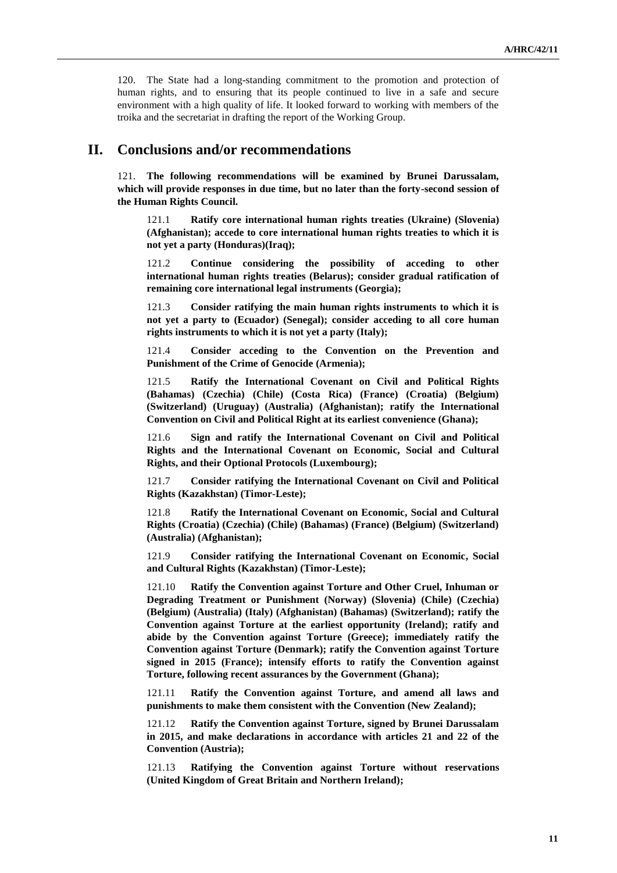120. The State had a long-standing commitment to the promotion and protection of human rights, and to ensuring that its people continued to live in a safe and secure environment with a high quality of life. It looked forward to working with members of the troika and the secretariat in drafting the report of the Working Group.

### **II. Conclusions and/or recommendations**

121. **The following recommendations will be examined by Brunei Darussalam, which will provide responses in due time, but no later than the forty-second session of the Human Rights Council.**

121.1 **Ratify core international human rights treaties (Ukraine) (Slovenia) (Afghanistan); accede to core international human rights treaties to which it is not yet a party (Honduras)(Iraq);**

121.2 **Continue considering the possibility of acceding to other international human rights treaties (Belarus); consider gradual ratification of remaining core international legal instruments (Georgia);**

121.3 **Consider ratifying the main human rights instruments to which it is not yet a party to (Ecuador) (Senegal); consider acceding to all core human rights instruments to which it is not yet a party (Italy);**

121.4 **Consider acceding to the Convention on the Prevention and Punishment of the Crime of Genocide (Armenia);**

121.5 **Ratify the International Covenant on Civil and Political Rights (Bahamas) (Czechia) (Chile) (Costa Rica) (France) (Croatia) (Belgium) (Switzerland) (Uruguay) (Australia) (Afghanistan); ratify the International Convention on Civil and Political Right at its earliest convenience (Ghana);**

121.6 **Sign and ratify the International Covenant on Civil and Political Rights and the International Covenant on Economic, Social and Cultural Rights, and their Optional Protocols (Luxembourg);**

121.7 **Consider ratifying the International Covenant on Civil and Political Rights (Kazakhstan) (Timor-Leste);**

121.8 **Ratify the International Covenant on Economic, Social and Cultural Rights (Croatia) (Czechia) (Chile) (Bahamas) (France) (Belgium) (Switzerland) (Australia) (Afghanistan);**

121.9 **Consider ratifying the International Covenant on Economic, Social and Cultural Rights (Kazakhstan) (Timor-Leste);**

121.10 **Ratify the Convention against Torture and Other Cruel, Inhuman or Degrading Treatment or Punishment (Norway) (Slovenia) (Chile) (Czechia) (Belgium) (Australia) (Italy) (Afghanistan) (Bahamas) (Switzerland); ratify the Convention against Torture at the earliest opportunity (Ireland); ratify and abide by the Convention against Torture (Greece); immediately ratify the Convention against Torture (Denmark); ratify the Convention against Torture signed in 2015 (France); intensify efforts to ratify the Convention against Torture, following recent assurances by the Government (Ghana);**

121.11 **Ratify the Convention against Torture, and amend all laws and punishments to make them consistent with the Convention (New Zealand);**

121.12 **Ratify the Convention against Torture, signed by Brunei Darussalam in 2015, and make declarations in accordance with articles 21 and 22 of the Convention (Austria);**

121.13 **Ratifying the Convention against Torture without reservations (United Kingdom of Great Britain and Northern Ireland);**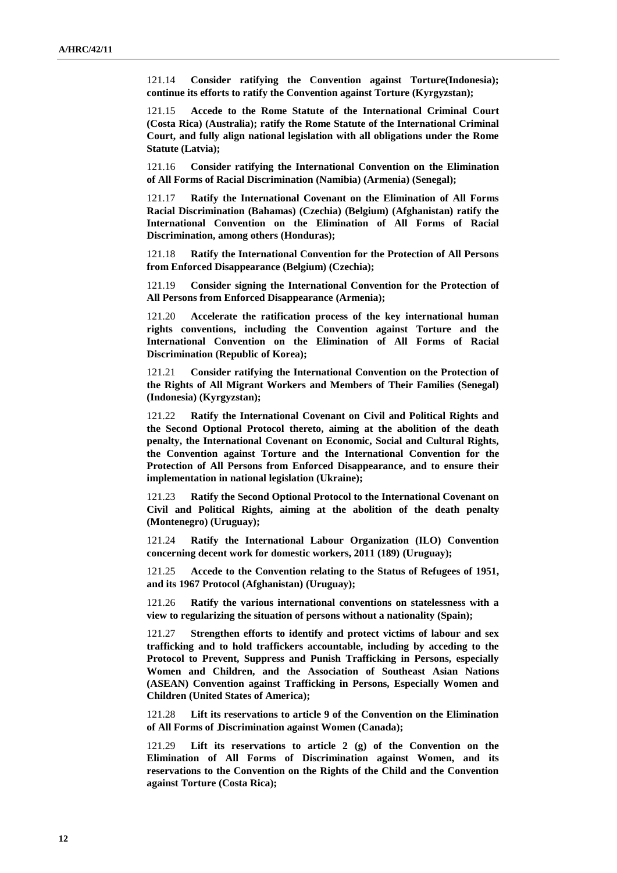121.14 **Consider ratifying the Convention against Torture(Indonesia); continue its efforts to ratify the Convention against Torture (Kyrgyzstan);**

121.15 **Accede to the Rome Statute of the International Criminal Court (Costa Rica) (Australia); ratify the Rome Statute of the International Criminal Court, and fully align national legislation with all obligations under the Rome Statute (Latvia);**

121.16 **Consider ratifying the International Convention on the Elimination of All Forms of Racial Discrimination (Namibia) (Armenia) (Senegal);**

121.17 **Ratify the International Covenant on the Elimination of All Forms Racial Discrimination (Bahamas) (Czechia) (Belgium) (Afghanistan) ratify the International Convention on the Elimination of All Forms of Racial Discrimination, among others (Honduras);**

121.18 **Ratify the International Convention for the Protection of All Persons from Enforced Disappearance (Belgium) (Czechia);**

121.19 **Consider signing the International Convention for the Protection of All Persons from Enforced Disappearance (Armenia);**

121.20 **Accelerate the ratification process of the key international human rights conventions, including the Convention against Torture and the International Convention on the Elimination of All Forms of Racial Discrimination (Republic of Korea);**

121.21 **Consider ratifying the International Convention on the Protection of the Rights of All Migrant Workers and Members of Their Families (Senegal) (Indonesia) (Kyrgyzstan);**

121.22 **Ratify the International Covenant on Civil and Political Rights and the Second Optional Protocol thereto, aiming at the abolition of the death penalty, the International Covenant on Economic, Social and Cultural Rights, the Convention against Torture and the International Convention for the Protection of All Persons from Enforced Disappearance, and to ensure their implementation in national legislation (Ukraine);**

121.23 **Ratify the Second Optional Protocol to the International Covenant on Civil and Political Rights, aiming at the abolition of the death penalty (Montenegro) (Uruguay);**

121.24 **Ratify the International Labour Organization (ILO) Convention concerning decent work for domestic workers, 2011 (189) (Uruguay);**

121.25 **Accede to the Convention relating to the Status of Refugees of 1951, and its 1967 Protocol (Afghanistan) (Uruguay);**

121.26 **Ratify the various international conventions on statelessness with a view to regularizing the situation of persons without a nationality (Spain);**

121.27 **Strengthen efforts to identify and protect victims of labour and sex trafficking and to hold traffickers accountable, including by acceding to the Protocol to Prevent, Suppress and Punish Trafficking in Persons, especially Women and Children, and the Association of Southeast Asian Nations (ASEAN) Convention against Trafficking in Persons, Especially Women and Children (United States of America);**

121.28 **Lift its reservations to article 9 of the Convention on the Elimination of All Forms of Discrimination against Women (Canada);**

121.29 **Lift its reservations to article 2 (g) of the Convention on the Elimination of All Forms of Discrimination against Women, and its reservations to the Convention on the Rights of the Child and the Convention against Torture (Costa Rica);**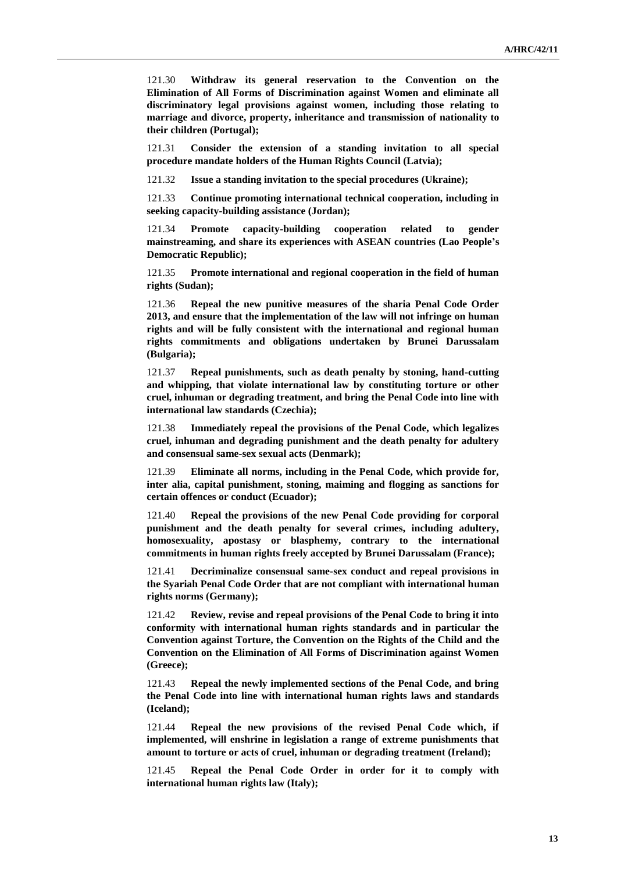121.30 **Withdraw its general reservation to the Convention on the Elimination of All Forms of Discrimination against Women and eliminate all discriminatory legal provisions against women, including those relating to marriage and divorce, property, inheritance and transmission of nationality to their children (Portugal);**

121.31 **Consider the extension of a standing invitation to all special procedure mandate holders of the Human Rights Council (Latvia);**

121.32 **Issue a standing invitation to the special procedures (Ukraine);**

121.33 **Continue promoting international technical cooperation, including in seeking capacity-building assistance (Jordan);**

121.34 **Promote capacity-building cooperation related to gender mainstreaming, and share its experiences with ASEAN countries (Lao People's Democratic Republic);**

121.35 **Promote international and regional cooperation in the field of human rights (Sudan);**

121.36 **Repeal the new punitive measures of the sharia Penal Code Order 2013, and ensure that the implementation of the law will not infringe on human rights and will be fully consistent with the international and regional human rights commitments and obligations undertaken by Brunei Darussalam (Bulgaria);**

121.37 **Repeal punishments, such as death penalty by stoning, hand-cutting and whipping, that violate international law by constituting torture or other cruel, inhuman or degrading treatment, and bring the Penal Code into line with international law standards (Czechia);**

121.38 **Immediately repeal the provisions of the Penal Code, which legalizes cruel, inhuman and degrading punishment and the death penalty for adultery and consensual same-sex sexual acts (Denmark);**

121.39 **Eliminate all norms, including in the Penal Code, which provide for, inter alia, capital punishment, stoning, maiming and flogging as sanctions for certain offences or conduct (Ecuador);**

121.40 **Repeal the provisions of the new Penal Code providing for corporal punishment and the death penalty for several crimes, including adultery, homosexuality, apostasy or blasphemy, contrary to the international commitments in human rights freely accepted by Brunei Darussalam (France);**

121.41 **Decriminalize consensual same-sex conduct and repeal provisions in the Syariah Penal Code Order that are not compliant with international human rights norms (Germany);**

121.42 **Review, revise and repeal provisions of the Penal Code to bring it into conformity with international human rights standards and in particular the Convention against Torture, the Convention on the Rights of the Child and the Convention on the Elimination of All Forms of Discrimination against Women (Greece);**

121.43 **Repeal the newly implemented sections of the Penal Code, and bring the Penal Code into line with international human rights laws and standards (Iceland);**

121.44 **Repeal the new provisions of the revised Penal Code which, if implemented, will enshrine in legislation a range of extreme punishments that amount to torture or acts of cruel, inhuman or degrading treatment (Ireland);**

121.45 **Repeal the Penal Code Order in order for it to comply with international human rights law (Italy);**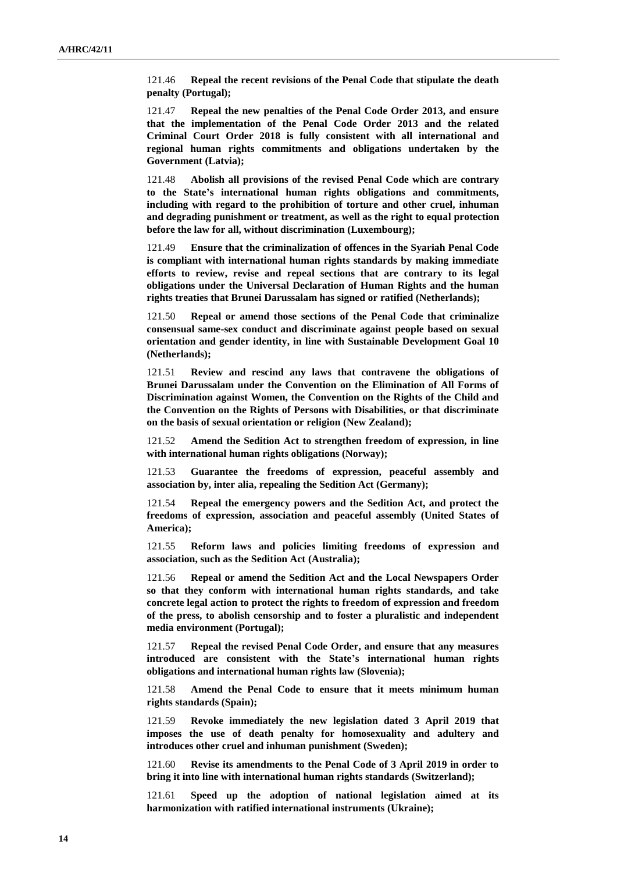121.46 **Repeal the recent revisions of the Penal Code that stipulate the death penalty (Portugal);**

121.47 **Repeal the new penalties of the Penal Code Order 2013, and ensure that the implementation of the Penal Code Order 2013 and the related Criminal Court Order 2018 is fully consistent with all international and regional human rights commitments and obligations undertaken by the Government (Latvia);** 

121.48 **Abolish all provisions of the revised Penal Code which are contrary to the State's international human rights obligations and commitments, including with regard to the prohibition of torture and other cruel, inhuman and degrading punishment or treatment, as well as the right to equal protection before the law for all, without discrimination (Luxembourg);**

121.49 **Ensure that the criminalization of offences in the Syariah Penal Code is compliant with international human rights standards by making immediate efforts to review, revise and repeal sections that are contrary to its legal obligations under the Universal Declaration of Human Rights and the human rights treaties that Brunei Darussalam has signed or ratified (Netherlands);**

121.50 **Repeal or amend those sections of the Penal Code that criminalize consensual same-sex conduct and discriminate against people based on sexual orientation and gender identity, in line with Sustainable Development Goal 10 (Netherlands);**

121.51 **Review and rescind any laws that contravene the obligations of Brunei Darussalam under the Convention on the Elimination of All Forms of Discrimination against Women, the Convention on the Rights of the Child and the Convention on the Rights of Persons with Disabilities, or that discriminate on the basis of sexual orientation or religion (New Zealand);**

121.52 **Amend the Sedition Act to strengthen freedom of expression, in line with international human rights obligations (Norway);**

121.53 **Guarantee the freedoms of expression, peaceful assembly and association by, inter alia, repealing the Sedition Act (Germany);**

121.54 **Repeal the emergency powers and the Sedition Act, and protect the freedoms of expression, association and peaceful assembly (United States of America);**

121.55 **Reform laws and policies limiting freedoms of expression and association, such as the Sedition Act (Australia);**

121.56 **Repeal or amend the Sedition Act and the Local Newspapers Order so that they conform with international human rights standards, and take concrete legal action to protect the rights to freedom of expression and freedom of the press, to abolish censorship and to foster a pluralistic and independent media environment (Portugal);**

121.57 **Repeal the revised Penal Code Order, and ensure that any measures introduced are consistent with the State's international human rights obligations and international human rights law (Slovenia);**

121.58 **Amend the Penal Code to ensure that it meets minimum human rights standards (Spain);**

121.59 **Revoke immediately the new legislation dated 3 April 2019 that imposes the use of death penalty for homosexuality and adultery and introduces other cruel and inhuman punishment (Sweden);**

121.60 **Revise its amendments to the Penal Code of 3 April 2019 in order to bring it into line with international human rights standards (Switzerland);**

121.61 **Speed up the adoption of national legislation aimed at its harmonization with ratified international instruments (Ukraine);**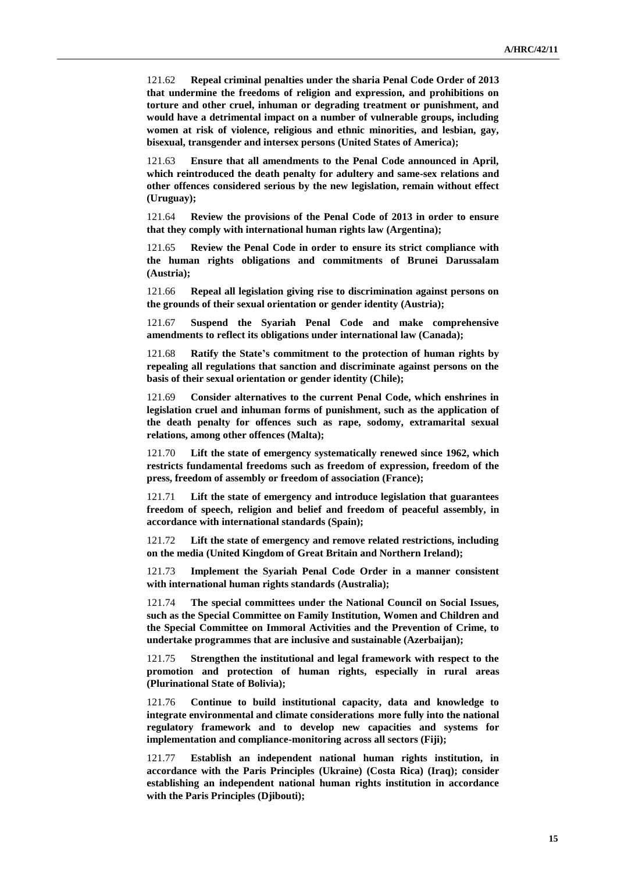121.62 **Repeal criminal penalties under the sharia Penal Code Order of 2013 that undermine the freedoms of religion and expression, and prohibitions on torture and other cruel, inhuman or degrading treatment or punishment, and would have a detrimental impact on a number of vulnerable groups, including women at risk of violence, religious and ethnic minorities, and lesbian, gay, bisexual, transgender and intersex persons (United States of America);**

121.63 **Ensure that all amendments to the Penal Code announced in April, which reintroduced the death penalty for adultery and same-sex relations and other offences considered serious by the new legislation, remain without effect (Uruguay);**

121.64 **Review the provisions of the Penal Code of 2013 in order to ensure that they comply with international human rights law (Argentina);**

121.65 **Review the Penal Code in order to ensure its strict compliance with the human rights obligations and commitments of Brunei Darussalam (Austria);**

121.66 **Repeal all legislation giving rise to discrimination against persons on the grounds of their sexual orientation or gender identity (Austria);**

121.67 **Suspend the Syariah Penal Code and make comprehensive amendments to reflect its obligations under international law (Canada);**

121.68 **Ratify the State's commitment to the protection of human rights by repealing all regulations that sanction and discriminate against persons on the basis of their sexual orientation or gender identity (Chile);**

121.69 **Consider alternatives to the current Penal Code, which enshrines in legislation cruel and inhuman forms of punishment, such as the application of the death penalty for offences such as rape, sodomy, extramarital sexual relations, among other offences (Malta);**

121.70 **Lift the state of emergency systematically renewed since 1962, which restricts fundamental freedoms such as freedom of expression, freedom of the press, freedom of assembly or freedom of association (France);**

121.71 **Lift the state of emergency and introduce legislation that guarantees freedom of speech, religion and belief and freedom of peaceful assembly, in accordance with international standards (Spain);**

121.72 **Lift the state of emergency and remove related restrictions, including on the media (United Kingdom of Great Britain and Northern Ireland);**

121.73 **Implement the Syariah Penal Code Order in a manner consistent with international human rights standards (Australia);**

121.74 **The special committees under the National Council on Social Issues, such as the Special Committee on Family Institution, Women and Children and the Special Committee on Immoral Activities and the Prevention of Crime, to undertake programmes that are inclusive and sustainable (Azerbaijan);**

121.75 **Strengthen the institutional and legal framework with respect to the promotion and protection of human rights, especially in rural areas (Plurinational State of Bolivia);**

121.76 **Continue to build institutional capacity, data and knowledge to integrate environmental and climate considerations more fully into the national regulatory framework and to develop new capacities and systems for implementation and compliance-monitoring across all sectors (Fiji);**

121.77 **Establish an independent national human rights institution, in accordance with the Paris Principles (Ukraine) (Costa Rica) (Iraq); consider establishing an independent national human rights institution in accordance with the Paris Principles (Djibouti);**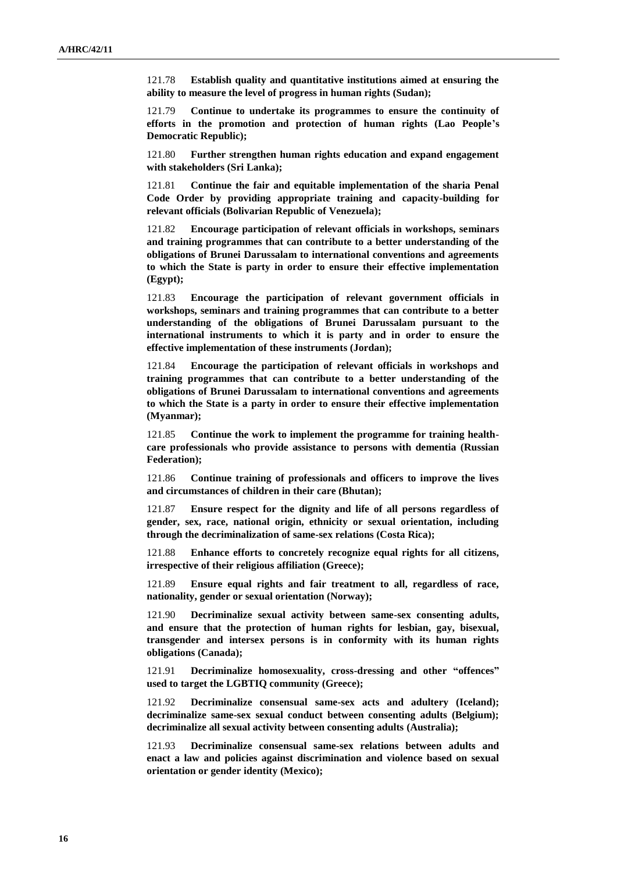121.78 **Establish quality and quantitative institutions aimed at ensuring the ability to measure the level of progress in human rights (Sudan);**

121.79 **Continue to undertake its programmes to ensure the continuity of efforts in the promotion and protection of human rights (Lao People's Democratic Republic);**

121.80 **Further strengthen human rights education and expand engagement with stakeholders (Sri Lanka);**

121.81 **Continue the fair and equitable implementation of the sharia Penal Code Order by providing appropriate training and capacity-building for relevant officials (Bolivarian Republic of Venezuela);**

121.82 **Encourage participation of relevant officials in workshops, seminars and training programmes that can contribute to a better understanding of the obligations of Brunei Darussalam to international conventions and agreements to which the State is party in order to ensure their effective implementation (Egypt);**

121.83 **Encourage the participation of relevant government officials in workshops, seminars and training programmes that can contribute to a better understanding of the obligations of Brunei Darussalam pursuant to the international instruments to which it is party and in order to ensure the effective implementation of these instruments (Jordan);**

121.84 **Encourage the participation of relevant officials in workshops and training programmes that can contribute to a better understanding of the obligations of Brunei Darussalam to international conventions and agreements to which the State is a party in order to ensure their effective implementation (Myanmar);**

121.85 **Continue the work to implement the programme for training healthcare professionals who provide assistance to persons with dementia (Russian Federation);**

121.86 **Continue training of professionals and officers to improve the lives and circumstances of children in their care (Bhutan);**

121.87 **Ensure respect for the dignity and life of all persons regardless of gender, sex, race, national origin, ethnicity or sexual orientation, including through the decriminalization of same-sex relations (Costa Rica);**

121.88 **Enhance efforts to concretely recognize equal rights for all citizens, irrespective of their religious affiliation (Greece);**

121.89 **Ensure equal rights and fair treatment to all, regardless of race, nationality, gender or sexual orientation (Norway);**

121.90 **Decriminalize sexual activity between same-sex consenting adults, and ensure that the protection of human rights for lesbian, gay, bisexual, transgender and intersex persons is in conformity with its human rights obligations (Canada);**

121.91 **Decriminalize homosexuality, cross-dressing and other "offences" used to target the LGBTIQ community (Greece);**

121.92 **Decriminalize consensual same-sex acts and adultery (Iceland); decriminalize same-sex sexual conduct between consenting adults (Belgium); decriminalize all sexual activity between consenting adults (Australia);**

121.93 **Decriminalize consensual same-sex relations between adults and enact a law and policies against discrimination and violence based on sexual orientation or gender identity (Mexico);**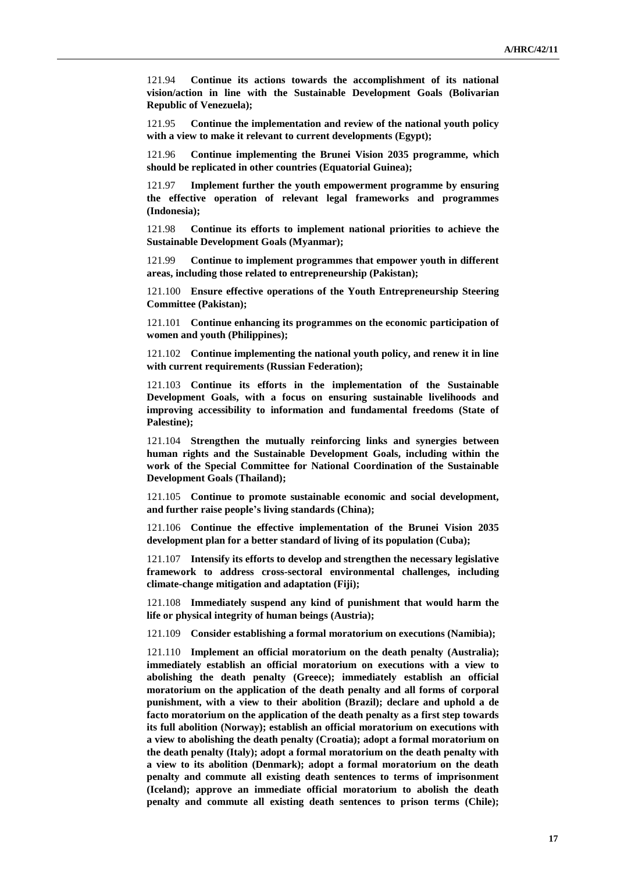121.94 **Continue its actions towards the accomplishment of its national vision/action in line with the Sustainable Development Goals (Bolivarian Republic of Venezuela);**

121.95 **Continue the implementation and review of the national youth policy with a view to make it relevant to current developments (Egypt);**

121.96 **Continue implementing the Brunei Vision 2035 programme, which should be replicated in other countries (Equatorial Guinea);**

121.97 **Implement further the youth empowerment programme by ensuring the effective operation of relevant legal frameworks and programmes (Indonesia);**

121.98 **Continue its efforts to implement national priorities to achieve the Sustainable Development Goals (Myanmar);**

121.99 **Continue to implement programmes that empower youth in different areas, including those related to entrepreneurship (Pakistan);**

121.100 **Ensure effective operations of the Youth Entrepreneurship Steering Committee (Pakistan);**

121.101 **Continue enhancing its programmes on the economic participation of women and youth (Philippines);**

121.102 **Continue implementing the national youth policy, and renew it in line with current requirements (Russian Federation);**

121.103 **Continue its efforts in the implementation of the Sustainable Development Goals, with a focus on ensuring sustainable livelihoods and improving accessibility to information and fundamental freedoms (State of Palestine);**

121.104 **Strengthen the mutually reinforcing links and synergies between human rights and the Sustainable Development Goals, including within the work of the Special Committee for National Coordination of the Sustainable Development Goals (Thailand);**

121.105 **Continue to promote sustainable economic and social development, and further raise people's living standards (China);**

121.106 **Continue the effective implementation of the Brunei Vision 2035 development plan for a better standard of living of its population (Cuba);**

121.107 **Intensify its efforts to develop and strengthen the necessary legislative framework to address cross-sectoral environmental challenges, including climate-change mitigation and adaptation (Fiji);**

121.108 **Immediately suspend any kind of punishment that would harm the life or physical integrity of human beings (Austria);**

121.109 **Consider establishing a formal moratorium on executions (Namibia);**

121.110 **Implement an official moratorium on the death penalty (Australia); immediately establish an official moratorium on executions with a view to abolishing the death penalty (Greece); immediately establish an official moratorium on the application of the death penalty and all forms of corporal punishment, with a view to their abolition (Brazil); declare and uphold a de facto moratorium on the application of the death penalty as a first step towards its full abolition (Norway); establish an official moratorium on executions with a view to abolishing the death penalty (Croatia); adopt a formal moratorium on the death penalty (Italy); adopt a formal moratorium on the death penalty with a view to its abolition (Denmark); adopt a formal moratorium on the death penalty and commute all existing death sentences to terms of imprisonment (Iceland); approve an immediate official moratorium to abolish the death penalty and commute all existing death sentences to prison terms (Chile);**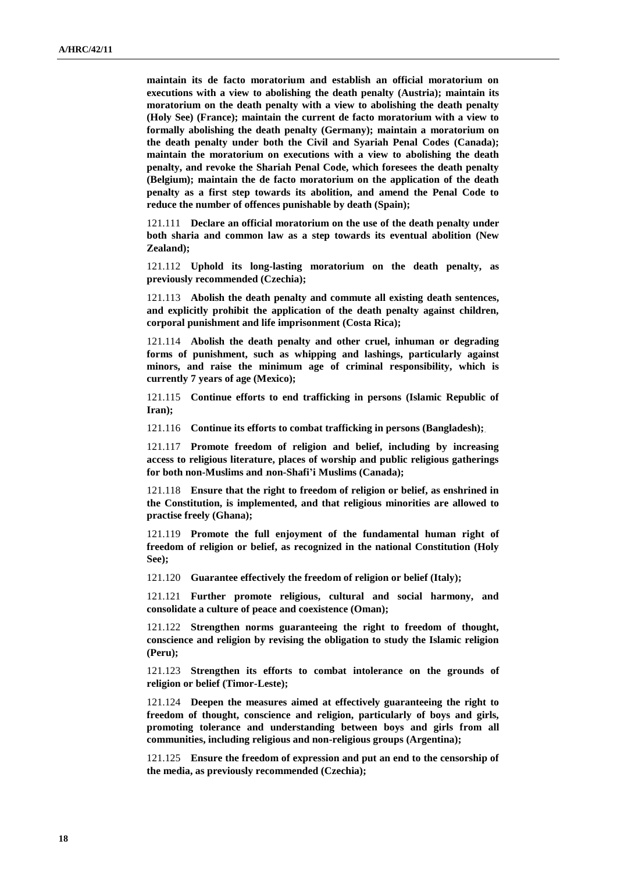**maintain its de facto moratorium and establish an official moratorium on executions with a view to abolishing the death penalty (Austria); maintain its moratorium on the death penalty with a view to abolishing the death penalty (Holy See) (France); maintain the current de facto moratorium with a view to formally abolishing the death penalty (Germany); maintain a moratorium on the death penalty under both the Civil and Syariah Penal Codes (Canada); maintain the moratorium on executions with a view to abolishing the death penalty, and revoke the Shariah Penal Code, which foresees the death penalty (Belgium); maintain the de facto moratorium on the application of the death penalty as a first step towards its abolition, and amend the Penal Code to reduce the number of offences punishable by death (Spain);**

121.111 **Declare an official moratorium on the use of the death penalty under both sharia and common law as a step towards its eventual abolition (New Zealand);**

121.112 **Uphold its long-lasting moratorium on the death penalty, as previously recommended (Czechia);**

121.113 **Abolish the death penalty and commute all existing death sentences, and explicitly prohibit the application of the death penalty against children, corporal punishment and life imprisonment (Costa Rica);**

121.114 **Abolish the death penalty and other cruel, inhuman or degrading forms of punishment, such as whipping and lashings, particularly against minors, and raise the minimum age of criminal responsibility, which is currently 7 years of age (Mexico);**

121.115 **Continue efforts to end trafficking in persons (Islamic Republic of Iran);**

121.116 **Continue its efforts to combat trafficking in persons (Bangladesh);**

121.117 **Promote freedom of religion and belief, including by increasing access to religious literature, places of worship and public religious gatherings for both non-Muslims and non-Shafi'i Muslims (Canada);**

121.118 **Ensure that the right to freedom of religion or belief, as enshrined in the Constitution, is implemented, and that religious minorities are allowed to practise freely (Ghana);**

121.119 **Promote the full enjoyment of the fundamental human right of freedom of religion or belief, as recognized in the national Constitution (Holy See);**

121.120 **Guarantee effectively the freedom of religion or belief (Italy);**

121.121 **Further promote religious, cultural and social harmony, and consolidate a culture of peace and coexistence (Oman);**

121.122 **Strengthen norms guaranteeing the right to freedom of thought, conscience and religion by revising the obligation to study the Islamic religion (Peru);**

121.123 **Strengthen its efforts to combat intolerance on the grounds of religion or belief (Timor-Leste);**

121.124 **Deepen the measures aimed at effectively guaranteeing the right to freedom of thought, conscience and religion, particularly of boys and girls, promoting tolerance and understanding between boys and girls from all communities, including religious and non-religious groups (Argentina);**

121.125 **Ensure the freedom of expression and put an end to the censorship of the media, as previously recommended (Czechia);**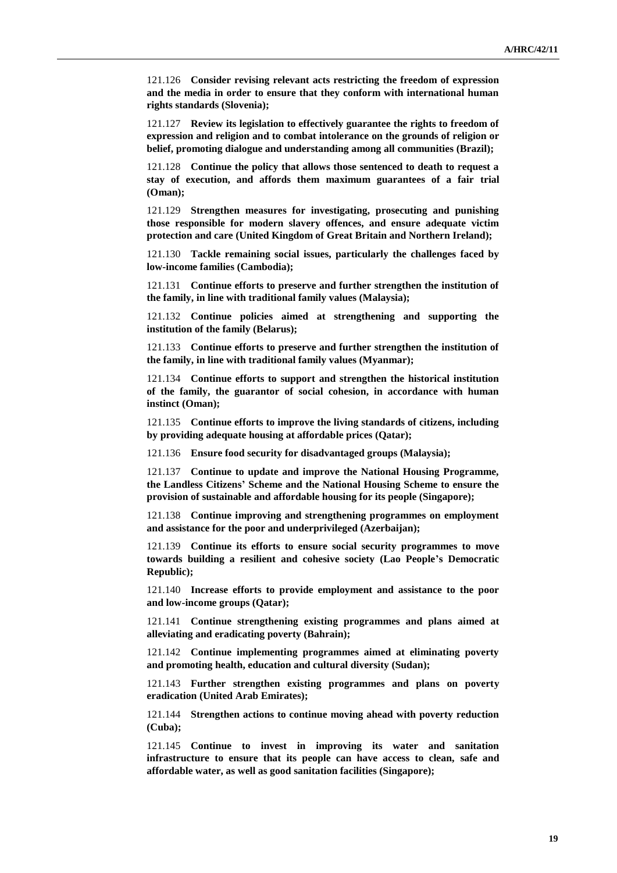121.126 **Consider revising relevant acts restricting the freedom of expression and the media in order to ensure that they conform with international human rights standards (Slovenia);**

121.127 **Review its legislation to effectively guarantee the rights to freedom of expression and religion and to combat intolerance on the grounds of religion or belief, promoting dialogue and understanding among all communities (Brazil);**

121.128 **Continue the policy that allows those sentenced to death to request a stay of execution, and affords them maximum guarantees of a fair trial (Oman);**

121.129 **Strengthen measures for investigating, prosecuting and punishing those responsible for modern slavery offences, and ensure adequate victim protection and care (United Kingdom of Great Britain and Northern Ireland);**

121.130 **Tackle remaining social issues, particularly the challenges faced by low-income families (Cambodia);**

121.131 **Continue efforts to preserve and further strengthen the institution of the family, in line with traditional family values (Malaysia);**

121.132 **Continue policies aimed at strengthening and supporting the institution of the family (Belarus);**

121.133 **Continue efforts to preserve and further strengthen the institution of the family, in line with traditional family values (Myanmar);**

121.134 **Continue efforts to support and strengthen the historical institution of the family, the guarantor of social cohesion, in accordance with human instinct (Oman);**

121.135 **Continue efforts to improve the living standards of citizens, including by providing adequate housing at affordable prices (Qatar);**

121.136 **Ensure food security for disadvantaged groups (Malaysia);**

121.137 **Continue to update and improve the National Housing Programme, the Landless Citizens' Scheme and the National Housing Scheme to ensure the provision of sustainable and affordable housing for its people (Singapore);**

121.138 **Continue improving and strengthening programmes on employment and assistance for the poor and underprivileged (Azerbaijan);**

121.139 **Continue its efforts to ensure social security programmes to move towards building a resilient and cohesive society (Lao People's Democratic Republic);**

121.140 **Increase efforts to provide employment and assistance to the poor and low-income groups (Qatar);**

121.141 **Continue strengthening existing programmes and plans aimed at alleviating and eradicating poverty (Bahrain);**

121.142 **Continue implementing programmes aimed at eliminating poverty and promoting health, education and cultural diversity (Sudan);**

121.143 **Further strengthen existing programmes and plans on poverty eradication (United Arab Emirates);**

121.144 **Strengthen actions to continue moving ahead with poverty reduction (Cuba);**

121.145 **Continue to invest in improving its water and sanitation infrastructure to ensure that its people can have access to clean, safe and affordable water, as well as good sanitation facilities (Singapore);**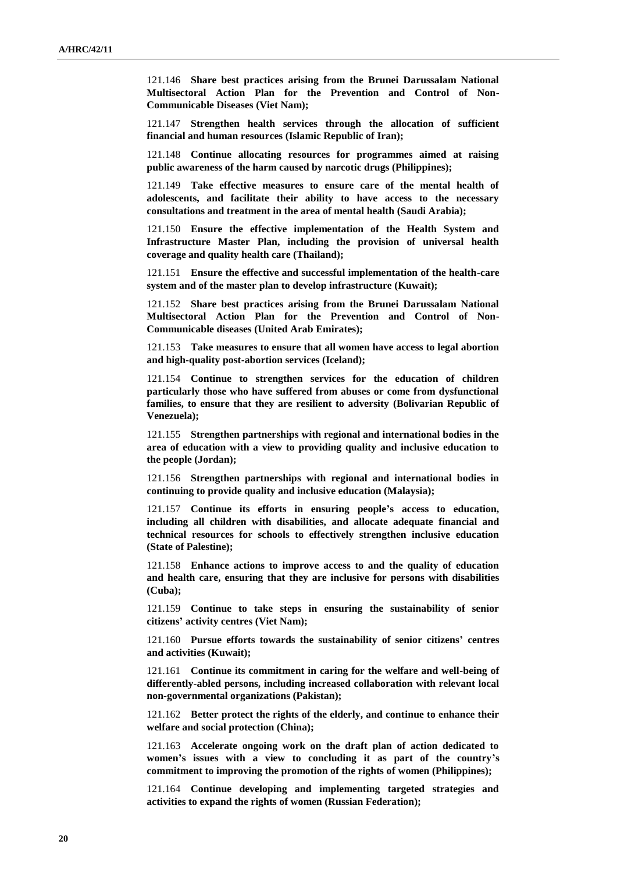121.146 **Share best practices arising from the Brunei Darussalam National Multisectoral Action Plan for the Prevention and Control of Non-Communicable Diseases (Viet Nam);**

121.147 **Strengthen health services through the allocation of sufficient financial and human resources (Islamic Republic of Iran);**

121.148 **Continue allocating resources for programmes aimed at raising public awareness of the harm caused by narcotic drugs (Philippines);**

121.149 **Take effective measures to ensure care of the mental health of adolescents, and facilitate their ability to have access to the necessary consultations and treatment in the area of mental health (Saudi Arabia);**

121.150 **Ensure the effective implementation of the Health System and Infrastructure Master Plan, including the provision of universal health coverage and quality health care (Thailand);**

121.151 **Ensure the effective and successful implementation of the health-care system and of the master plan to develop infrastructure (Kuwait);**

121.152 **Share best practices arising from the Brunei Darussalam National Multisectoral Action Plan for the Prevention and Control of Non-Communicable diseases (United Arab Emirates);**

121.153 **Take measures to ensure that all women have access to legal abortion and high-quality post-abortion services (Iceland);**

121.154 **Continue to strengthen services for the education of children particularly those who have suffered from abuses or come from dysfunctional families, to ensure that they are resilient to adversity (Bolivarian Republic of Venezuela);**

121.155 **Strengthen partnerships with regional and international bodies in the area of education with a view to providing quality and inclusive education to the people (Jordan);**

121.156 **Strengthen partnerships with regional and international bodies in continuing to provide quality and inclusive education (Malaysia);**

121.157 **Continue its efforts in ensuring people's access to education, including all children with disabilities, and allocate adequate financial and technical resources for schools to effectively strengthen inclusive education (State of Palestine);**

121.158 **Enhance actions to improve access to and the quality of education and health care, ensuring that they are inclusive for persons with disabilities (Cuba);**

121.159 **Continue to take steps in ensuring the sustainability of senior citizens' activity centres (Viet Nam);**

121.160 **Pursue efforts towards the sustainability of senior citizens' centres and activities (Kuwait);**

121.161 **Continue its commitment in caring for the welfare and well-being of differently-abled persons, including increased collaboration with relevant local non-governmental organizations (Pakistan);**

121.162 **Better protect the rights of the elderly, and continue to enhance their welfare and social protection (China);**

121.163 **Accelerate ongoing work on the draft plan of action dedicated to women's issues with a view to concluding it as part of the country's commitment to improving the promotion of the rights of women (Philippines);**

121.164 **Continue developing and implementing targeted strategies and activities to expand the rights of women (Russian Federation);**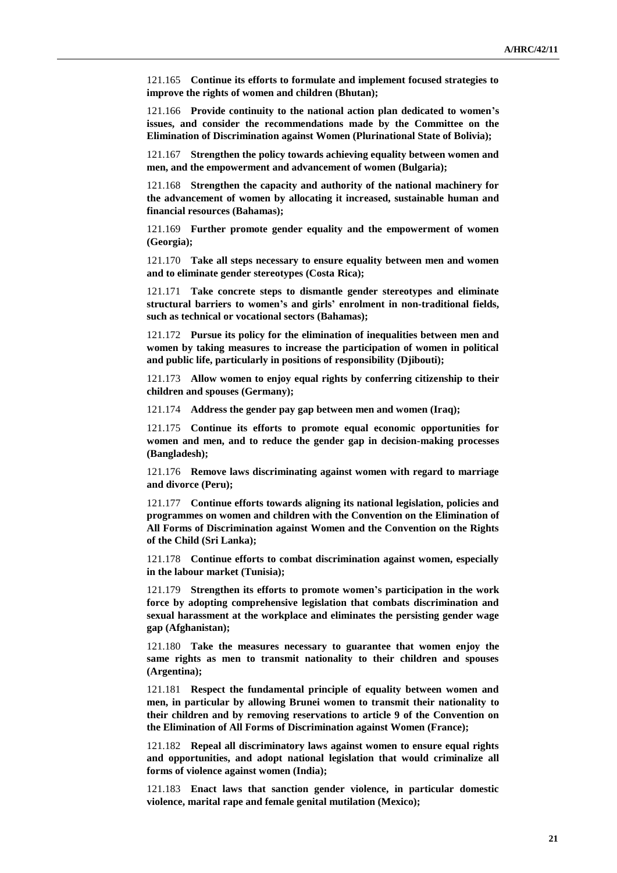121.165 **Continue its efforts to formulate and implement focused strategies to improve the rights of women and children (Bhutan);**

121.166 **Provide continuity to the national action plan dedicated to women's issues, and consider the recommendations made by the Committee on the Elimination of Discrimination against Women (Plurinational State of Bolivia);**

121.167 **Strengthen the policy towards achieving equality between women and men, and the empowerment and advancement of women (Bulgaria);**

121.168 **Strengthen the capacity and authority of the national machinery for the advancement of women by allocating it increased, sustainable human and financial resources (Bahamas);**

121.169 **Further promote gender equality and the empowerment of women (Georgia);**

121.170 **Take all steps necessary to ensure equality between men and women and to eliminate gender stereotypes (Costa Rica);**

121.171 **Take concrete steps to dismantle gender stereotypes and eliminate structural barriers to women's and girls' enrolment in non-traditional fields, such as technical or vocational sectors (Bahamas);**

121.172 **Pursue its policy for the elimination of inequalities between men and women by taking measures to increase the participation of women in political and public life, particularly in positions of responsibility (Djibouti);**

121.173 **Allow women to enjoy equal rights by conferring citizenship to their children and spouses (Germany);**

121.174 **Address the gender pay gap between men and women (Iraq);**

121.175 **Continue its efforts to promote equal economic opportunities for women and men, and to reduce the gender gap in decision-making processes (Bangladesh);**

121.176 **Remove laws discriminating against women with regard to marriage and divorce (Peru);**

121.177 **Continue efforts towards aligning its national legislation, policies and programmes on women and children with the Convention on the Elimination of All Forms of Discrimination against Women and the Convention on the Rights of the Child (Sri Lanka);**

121.178 **Continue efforts to combat discrimination against women, especially in the labour market (Tunisia);**

121.179 **Strengthen its efforts to promote women's participation in the work force by adopting comprehensive legislation that combats discrimination and sexual harassment at the workplace and eliminates the persisting gender wage gap (Afghanistan);**

121.180 **Take the measures necessary to guarantee that women enjoy the same rights as men to transmit nationality to their children and spouses (Argentina);**

121.181 **Respect the fundamental principle of equality between women and men, in particular by allowing Brunei women to transmit their nationality to their children and by removing reservations to article 9 of the Convention on the Elimination of All Forms of Discrimination against Women (France);**

121.182 **Repeal all discriminatory laws against women to ensure equal rights and opportunities, and adopt national legislation that would criminalize all forms of violence against women (India);**

121.183 **Enact laws that sanction gender violence, in particular domestic violence, marital rape and female genital mutilation (Mexico);**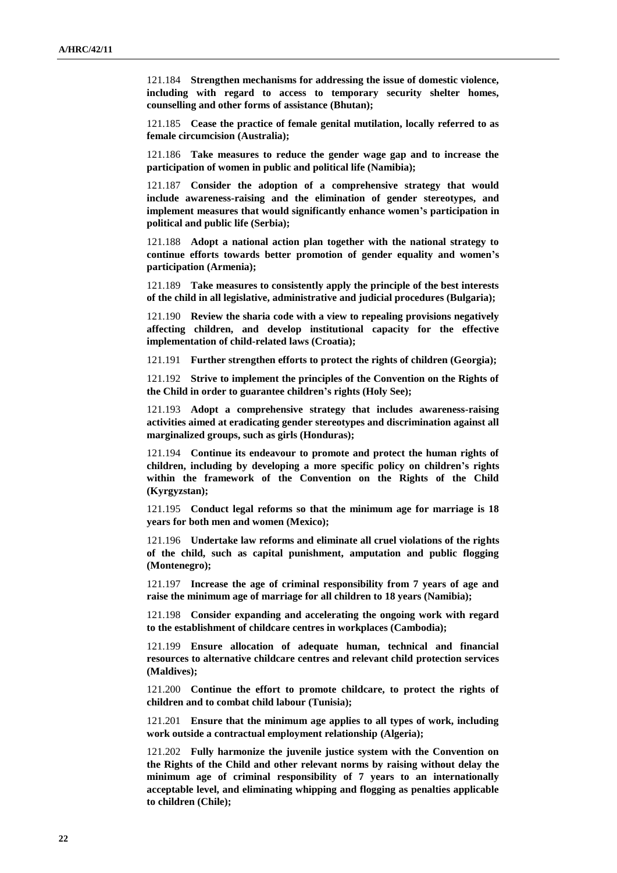121.184 **Strengthen mechanisms for addressing the issue of domestic violence, including with regard to access to temporary security shelter homes, counselling and other forms of assistance (Bhutan);**

121.185 **Cease the practice of female genital mutilation, locally referred to as female circumcision (Australia);**

121.186 **Take measures to reduce the gender wage gap and to increase the participation of women in public and political life (Namibia);**

121.187 **Consider the adoption of a comprehensive strategy that would include awareness-raising and the elimination of gender stereotypes, and implement measures that would significantly enhance women's participation in political and public life (Serbia);**

121.188 **Adopt a national action plan together with the national strategy to continue efforts towards better promotion of gender equality and women's participation (Armenia);**

121.189 **Take measures to consistently apply the principle of the best interests of the child in all legislative, administrative and judicial procedures (Bulgaria);**

121.190 **Review the sharia code with a view to repealing provisions negatively affecting children, and develop institutional capacity for the effective implementation of child-related laws (Croatia);**

121.191 **Further strengthen efforts to protect the rights of children (Georgia);**

121.192 **Strive to implement the principles of the Convention on the Rights of the Child in order to guarantee children's rights (Holy See);**

121.193 **Adopt a comprehensive strategy that includes awareness-raising activities aimed at eradicating gender stereotypes and discrimination against all marginalized groups, such as girls (Honduras);**

121.194 **Continue its endeavour to promote and protect the human rights of children, including by developing a more specific policy on children's rights within the framework of the Convention on the Rights of the Child (Kyrgyzstan);**

121.195 **Conduct legal reforms so that the minimum age for marriage is 18 years for both men and women (Mexico);**

121.196 **Undertake law reforms and eliminate all cruel violations of the rights of the child, such as capital punishment, amputation and public flogging (Montenegro);**

121.197 **Increase the age of criminal responsibility from 7 years of age and raise the minimum age of marriage for all children to 18 years (Namibia);**

121.198 **Consider expanding and accelerating the ongoing work with regard to the establishment of childcare centres in workplaces (Cambodia);**

121.199 **Ensure allocation of adequate human, technical and financial resources to alternative childcare centres and relevant child protection services (Maldives);**

121.200 **Continue the effort to promote childcare, to protect the rights of children and to combat child labour (Tunisia);**

121.201 **Ensure that the minimum age applies to all types of work, including work outside a contractual employment relationship (Algeria);**

121.202 **Fully harmonize the juvenile justice system with the Convention on the Rights of the Child and other relevant norms by raising without delay the minimum age of criminal responsibility of 7 years to an internationally acceptable level, and eliminating whipping and flogging as penalties applicable to children (Chile);**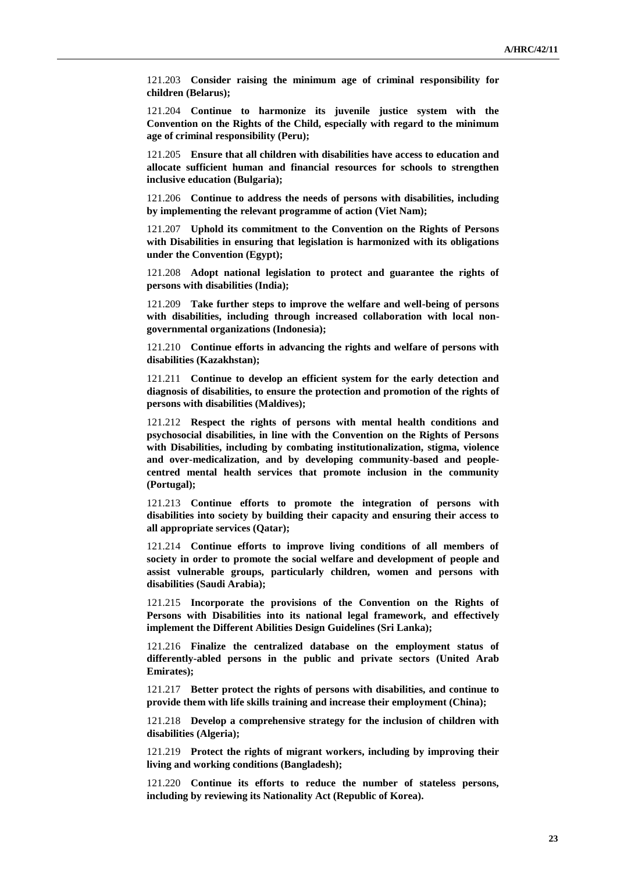121.203 **Consider raising the minimum age of criminal responsibility for children (Belarus);**

121.204 **Continue to harmonize its juvenile justice system with the Convention on the Rights of the Child, especially with regard to the minimum age of criminal responsibility (Peru);**

121.205 **Ensure that all children with disabilities have access to education and allocate sufficient human and financial resources for schools to strengthen inclusive education (Bulgaria);**

121.206 **Continue to address the needs of persons with disabilities, including by implementing the relevant programme of action (Viet Nam);**

121.207 **Uphold its commitment to the Convention on the Rights of Persons with Disabilities in ensuring that legislation is harmonized with its obligations under the Convention (Egypt);**

121.208 **Adopt national legislation to protect and guarantee the rights of persons with disabilities (India);**

121.209 **Take further steps to improve the welfare and well-being of persons with disabilities, including through increased collaboration with local nongovernmental organizations (Indonesia);**

121.210 **Continue efforts in advancing the rights and welfare of persons with disabilities (Kazakhstan);**

121.211 **Continue to develop an efficient system for the early detection and diagnosis of disabilities, to ensure the protection and promotion of the rights of persons with disabilities (Maldives);**

121.212 **Respect the rights of persons with mental health conditions and psychosocial disabilities, in line with the Convention on the Rights of Persons with Disabilities, including by combating institutionalization, stigma, violence and over-medicalization, and by developing community-based and peoplecentred mental health services that promote inclusion in the community (Portugal);**

121.213 **Continue efforts to promote the integration of persons with disabilities into society by building their capacity and ensuring their access to all appropriate services (Qatar);**

121.214 **Continue efforts to improve living conditions of all members of society in order to promote the social welfare and development of people and assist vulnerable groups, particularly children, women and persons with disabilities (Saudi Arabia);**

121.215 **Incorporate the provisions of the Convention on the Rights of Persons with Disabilities into its national legal framework, and effectively implement the Different Abilities Design Guidelines (Sri Lanka);**

121.216 **Finalize the centralized database on the employment status of differently-abled persons in the public and private sectors (United Arab Emirates);**

121.217 **Better protect the rights of persons with disabilities, and continue to provide them with life skills training and increase their employment (China);**

121.218 **Develop a comprehensive strategy for the inclusion of children with disabilities (Algeria);**

121.219 **Protect the rights of migrant workers, including by improving their living and working conditions (Bangladesh);**

121.220 **Continue its efforts to reduce the number of stateless persons, including by reviewing its Nationality Act (Republic of Korea).**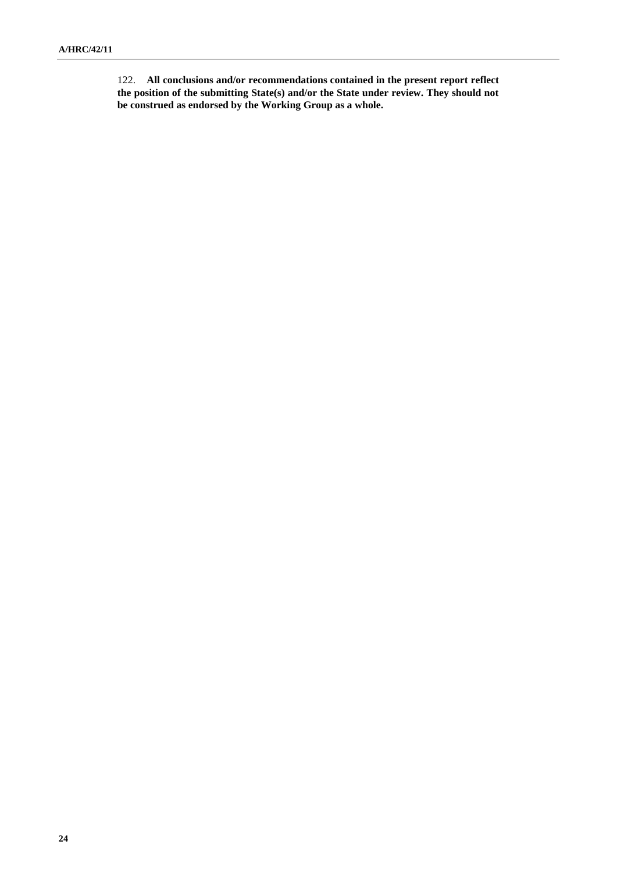122. **All conclusions and/or recommendations contained in the present report reflect the position of the submitting State(s) and/or the State under review. They should not be construed as endorsed by the Working Group as a whole.**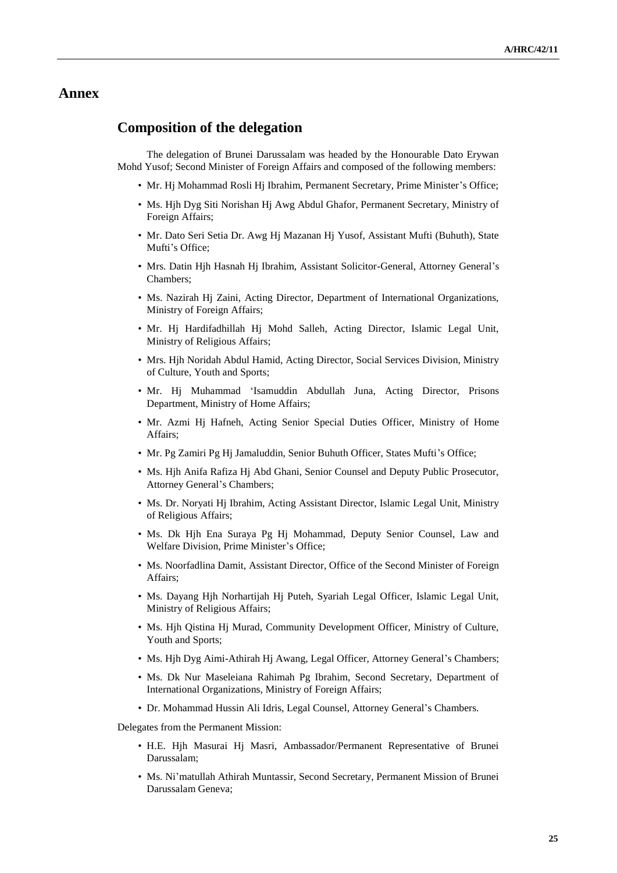## **Annex**

## **Composition of the delegation**

The delegation of Brunei Darussalam was headed by the Honourable Dato Erywan Mohd Yusof; Second Minister of Foreign Affairs and composed of the following members:

- Mr. Hj Mohammad Rosli Hj Ibrahim, Permanent Secretary, Prime Minister's Office;
- Ms. Hjh Dyg Siti Norishan Hj Awg Abdul Ghafor, Permanent Secretary, Ministry of Foreign Affairs;
- Mr. Dato Seri Setia Dr. Awg Hj Mazanan Hj Yusof, Assistant Mufti (Buhuth), State Mufti's Office:
- Mrs. Datin Hjh Hasnah Hj Ibrahim, Assistant Solicitor-General, Attorney General's Chambers;
- Ms. Nazirah Hj Zaini, Acting Director, Department of International Organizations, Ministry of Foreign Affairs;
- Mr. Hj Hardifadhillah Hj Mohd Salleh, Acting Director, Islamic Legal Unit, Ministry of Religious Affairs;
- Mrs. Hjh Noridah Abdul Hamid, Acting Director, Social Services Division, Ministry of Culture, Youth and Sports;
- Mr. Hj Muhammad 'Isamuddin Abdullah Juna, Acting Director, Prisons Department, Ministry of Home Affairs;
- Mr. Azmi Hj Hafneh, Acting Senior Special Duties Officer, Ministry of Home Affairs;
- Mr. Pg Zamiri Pg Hj Jamaluddin, Senior Buhuth Officer, States Mufti's Office;
- Ms. Hjh Anifa Rafiza Hj Abd Ghani, Senior Counsel and Deputy Public Prosecutor, Attorney General's Chambers;
- Ms. Dr. Noryati Hj Ibrahim, Acting Assistant Director, Islamic Legal Unit, Ministry of Religious Affairs;
- Ms. Dk Hjh Ena Suraya Pg Hj Mohammad, Deputy Senior Counsel, Law and Welfare Division, Prime Minister's Office;
- Ms. Noorfadlina Damit, Assistant Director, Office of the Second Minister of Foreign Affairs;
- Ms. Dayang Hjh Norhartijah Hj Puteh, Syariah Legal Officer, Islamic Legal Unit, Ministry of Religious Affairs;
- Ms. Hjh Qistina Hj Murad, Community Development Officer, Ministry of Culture, Youth and Sports;
- Ms. Hjh Dyg Aimi-Athirah Hj Awang, Legal Officer, Attorney General's Chambers;
- Ms. Dk Nur Maseleiana Rahimah Pg Ibrahim, Second Secretary, Department of International Organizations, Ministry of Foreign Affairs;
- Dr. Mohammad Hussin Ali Idris, Legal Counsel, Attorney General's Chambers.

Delegates from the Permanent Mission:

- H.E. Hjh Masurai Hj Masri, Ambassador/Permanent Representative of Brunei Darussalam;
- Ms. Ni'matullah Athirah Muntassir, Second Secretary, Permanent Mission of Brunei Darussalam Geneva;